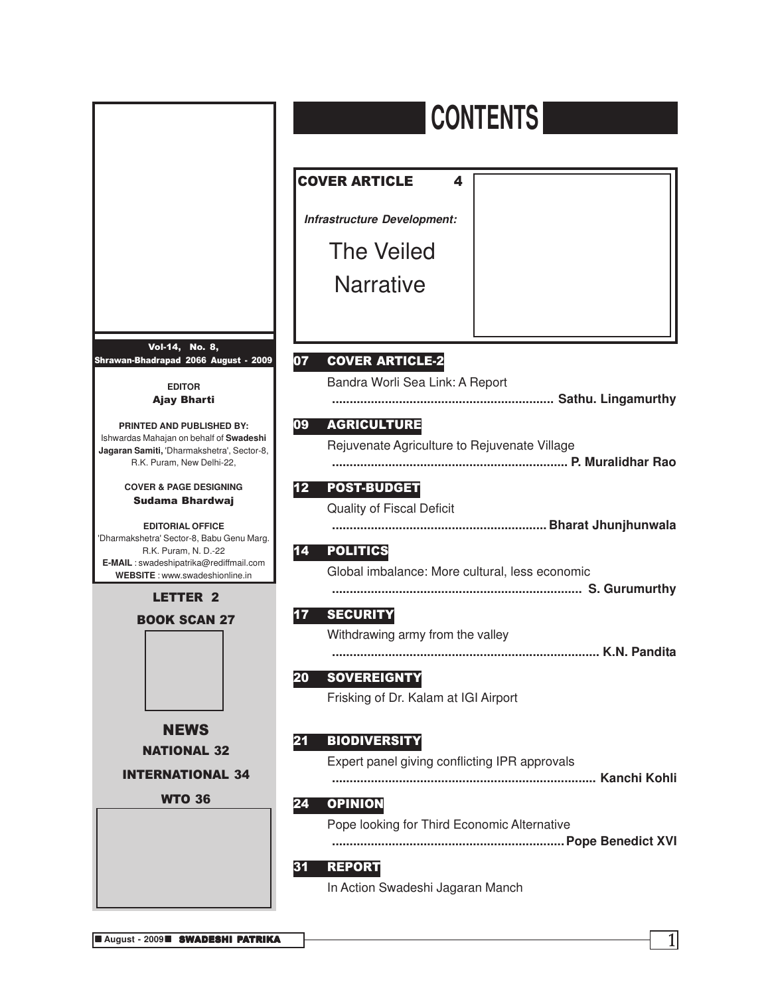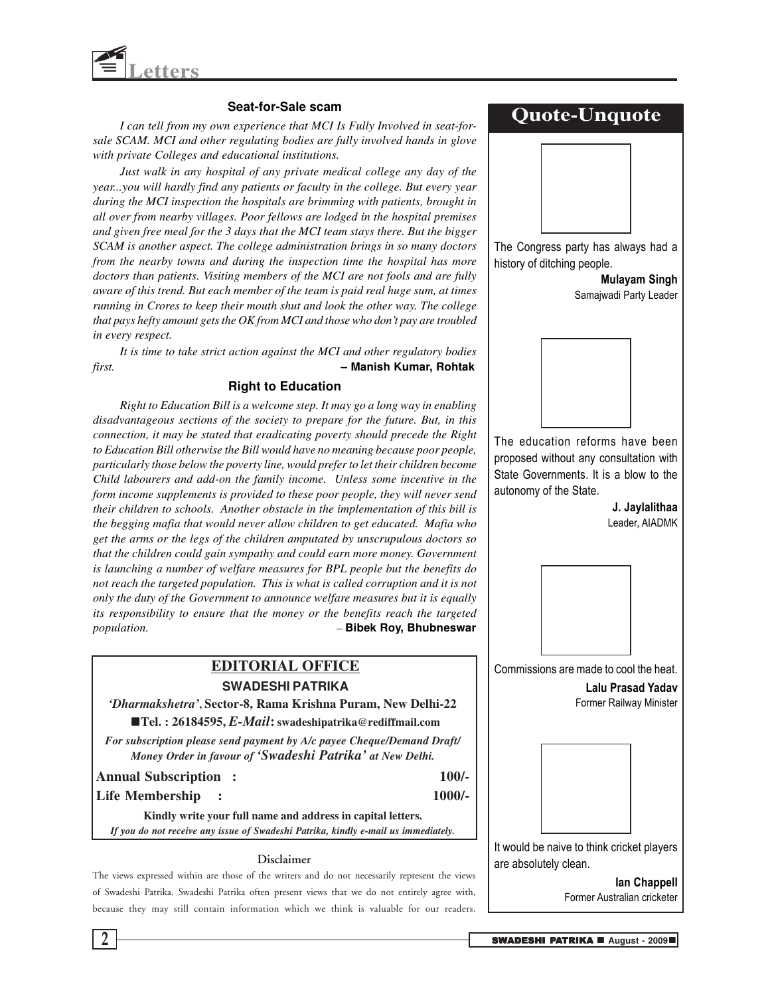

#### **Seat-for-Sale scam**

*I can tell from my own experience that MCI Is Fully Involved in seat-forsale SCAM. MCI and other regulating bodies are fully involved hands in glove with private Colleges and educational institutions.*

*Just walk in any hospital of any private medical college any day of the year...you will hardly find any patients or faculty in the college. But every year during the MCI inspection the hospitals are brimming with patients, brought in all over from nearby villages. Poor fellows are lodged in the hospital premises and given free meal for the 3 days that the MCI team stays there. But the bigger SCAM is another aspect. The college administration brings in so many doctors from the nearby towns and during the inspection time the hospital has more doctors than patients. Visiting members of the MCI are not fools and are fully aware of this trend. But each member of the team is paid real huge sum, at times running in Crores to keep their mouth shut and look the other way. The college that pays hefty amount gets the OK from MCI and those who don't pay are troubled in every respect.*

*It is time to take strict action against the MCI and other regulatory bodies first.* **– Manish Kumar, Rohtak**

#### **Right to Education**

*Right to Education Bill is a welcome step. It may go a long way in enabling disadvantageous sections of the society to prepare for the future. But, in this connection, it may be stated that eradicating poverty should precede the Right to Education Bill otherwise the Bill would have no meaning because poor people, particularly those below the poverty line, would prefer to let their children become Child labourers and add-on the family income. Unless some incentive in the form income supplements is provided to these poor people, they will never send their children to schools. Another obstacle in the implementation of this bill is the begging mafia that would never allow children to get educated. Mafia who get the arms or the legs of the children amputated by unscrupulous doctors so that the children could gain sympathy and could earn more money. Government is launching a number of welfare measures for BPL people but the benefits do not reach the targeted population. This is what is called corruption and it is not only the duty of the Government to announce welfare measures but it is equally its responsibility to ensure that the money or the benefits reach the targeted population. –* **Bibek Roy, Bhubneswar**

### **EDITORIAL OFFICE SWADESHI PATRIKA**

*'Dharmakshetra'***, Sector-8, Rama Krishna Puram, New Delhi-22** n**Tel. : 26184595,** *E-Mail***: swadeshipatrika@rediffmail.com**

*For subscription please send payment by A/c payee Cheque/Demand Draft/ Money Order in favour of 'Swadeshi Patrika' at New Delhi.*

#### **Annual Subscription : 100/-**

**Life Membership : 1000/-**

**Kindly write your full name and address in capital letters.** *If you do not receive any issue of Swadeshi Patrika, kindly e-mail us immediately.*

#### **Disclaimer**

The views expressed within are those of the writers and do not necessarily represent the views of Swadeshi Patrika. Swadeshi Patrika often present views that we do not entirely agree with, because they may still contain information which we think is valuable for our readers.

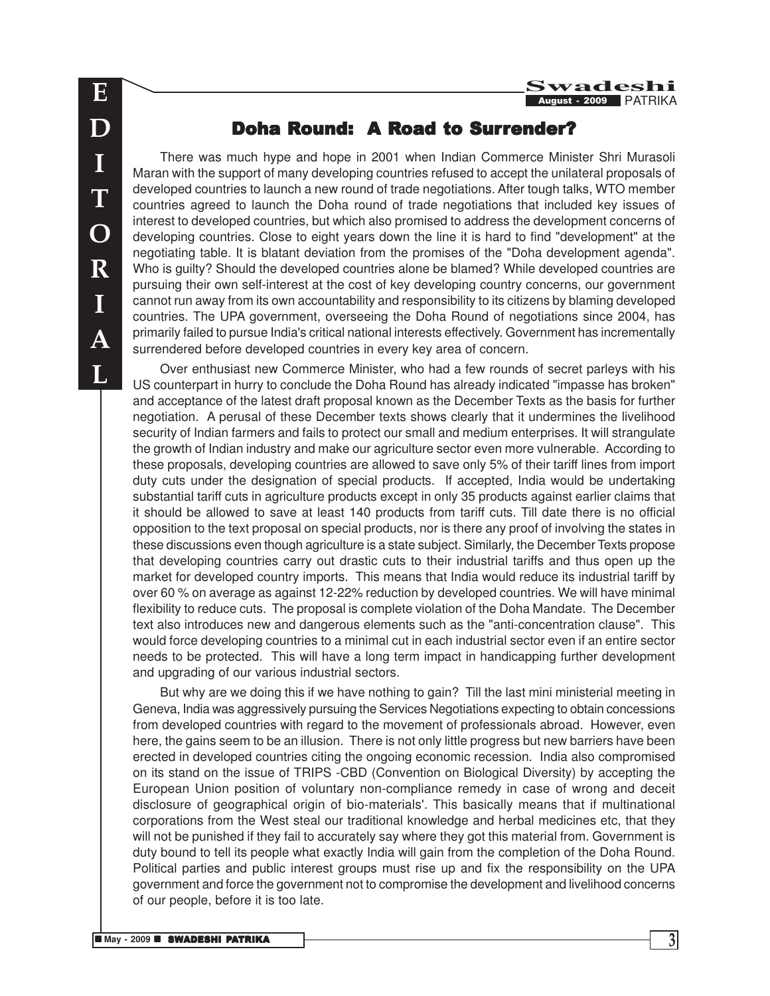### Doha Round: A Road to Surrender?

There was much hype and hope in 2001 when Indian Commerce Minister Shri Murasoli Maran with the support of many developing countries refused to accept the unilateral proposals of developed countries to launch a new round of trade negotiations. After tough talks, WTO member countries agreed to launch the Doha round of trade negotiations that included key issues of interest to developed countries, but which also promised to address the development concerns of developing countries. Close to eight years down the line it is hard to find "development" at the negotiating table. It is blatant deviation from the promises of the "Doha development agenda". Who is guilty? Should the developed countries alone be blamed? While developed countries are pursuing their own self-interest at the cost of key developing country concerns, our government cannot run away from its own accountability and responsibility to its citizens by blaming developed countries. The UPA government, overseeing the Doha Round of negotiations since 2004, has primarily failed to pursue India's critical national interests effectively. Government has incrementally surrendered before developed countries in every key area of concern.

Over enthusiast new Commerce Minister, who had a few rounds of secret parleys with his US counterpart in hurry to conclude the Doha Round has already indicated "impasse has broken" and acceptance of the latest draft proposal known as the December Texts as the basis for further negotiation. A perusal of these December texts shows clearly that it undermines the livelihood security of Indian farmers and fails to protect our small and medium enterprises. It will strangulate the growth of Indian industry and make our agriculture sector even more vulnerable. According to these proposals, developing countries are allowed to save only 5% of their tariff lines from import duty cuts under the designation of special products. If accepted, India would be undertaking substantial tariff cuts in agriculture products except in only 35 products against earlier claims that it should be allowed to save at least 140 products from tariff cuts. Till date there is no official opposition to the text proposal on special products, nor is there any proof of involving the states in these discussions even though agriculture is a state subject. Similarly, the December Texts propose that developing countries carry out drastic cuts to their industrial tariffs and thus open up the market for developed country imports. This means that India would reduce its industrial tariff by over 60 % on average as against 12-22% reduction by developed countries. We will have minimal flexibility to reduce cuts. The proposal is complete violation of the Doha Mandate. The December text also introduces new and dangerous elements such as the "anti-concentration clause". This would force developing countries to a minimal cut in each industrial sector even if an entire sector needs to be protected. This will have a long term impact in handicapping further development and upgrading of our various industrial sectors.

But why are we doing this if we have nothing to gain? Till the last mini ministerial meeting in Geneva, India was aggressively pursuing the Services Negotiations expecting to obtain concessions from developed countries with regard to the movement of professionals abroad. However, even here, the gains seem to be an illusion. There is not only little progress but new barriers have been erected in developed countries citing the ongoing economic recession. India also compromised on its stand on the issue of TRIPS -CBD (Convention on Biological Diversity) by accepting the European Union position of voluntary non-compliance remedy in case of wrong and deceit disclosure of geographical origin of bio-materials'. This basically means that if multinational corporations from the West steal our traditional knowledge and herbal medicines etc, that they will not be punished if they fail to accurately say where they got this material from. Government is duty bound to tell its people what exactly India will gain from the completion of the Doha Round. Political parties and public interest groups must rise up and fix the responsibility on the UPA government and force the government not to compromise the development and livelihood concerns of our people, before it is too late.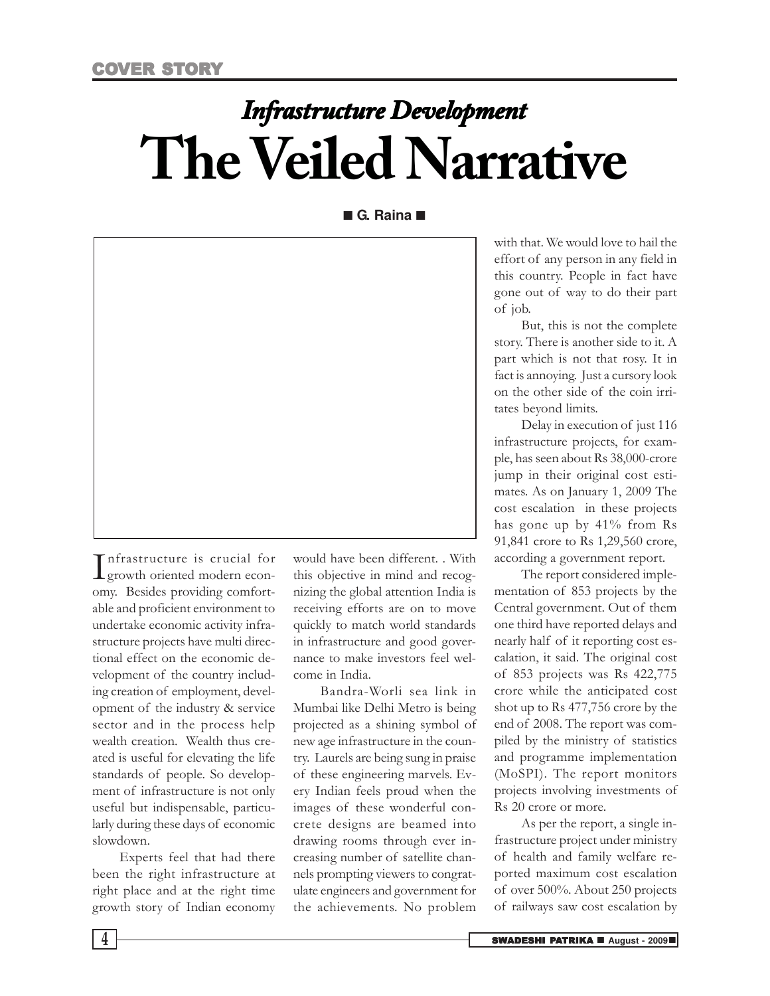# *Infrastructure Development* **The Veiled Narrative**

■ **G. Raina** ■



Infrastructure is crucial for<br>growth oriented modern econnfrastructure is crucial for omy. Besides providing comfortable and proficient environment to undertake economic activity infrastructure projects have multi directional effect on the economic development of the country including creation of employment, development of the industry & service sector and in the process help wealth creation. Wealth thus created is useful for elevating the life standards of people. So development of infrastructure is not only useful but indispensable, particularly during these days of economic slowdown.

Experts feel that had there been the right infrastructure at right place and at the right time growth story of Indian economy

would have been different. . With this objective in mind and recognizing the global attention India is receiving efforts are on to move quickly to match world standards in infrastructure and good governance to make investors feel welcome in India.

Bandra-Worli sea link in Mumbai like Delhi Metro is being projected as a shining symbol of new age infrastructure in the country. Laurels are being sung in praise of these engineering marvels. Every Indian feels proud when the images of these wonderful concrete designs are beamed into drawing rooms through ever increasing number of satellite channels prompting viewers to congratulate engineers and government for the achievements. No problem

with that. We would love to hail the effort of any person in any field in this country. People in fact have gone out of way to do their part of job.

But, this is not the complete story. There is another side to it. A part which is not that rosy. It in fact is annoying. Just a cursory look on the other side of the coin irritates beyond limits.

Delay in execution of just 116 infrastructure projects, for example, has seen about Rs 38,000-crore jump in their original cost estimates. As on January 1, 2009 The cost escalation in these projects has gone up by 41% from Rs 91,841 crore to Rs 1,29,560 crore, according a government report.

The report considered implementation of 853 projects by the Central government. Out of them one third have reported delays and nearly half of it reporting cost escalation, it said. The original cost of 853 projects was Rs 422,775 crore while the anticipated cost shot up to Rs 477,756 crore by the end of 2008. The report was compiled by the ministry of statistics and programme implementation (MoSPI). The report monitors projects involving investments of Rs 20 crore or more.

As per the report, a single infrastructure project under ministry of health and family welfare reported maximum cost escalation of over 500%. About 250 projects of railways saw cost escalation by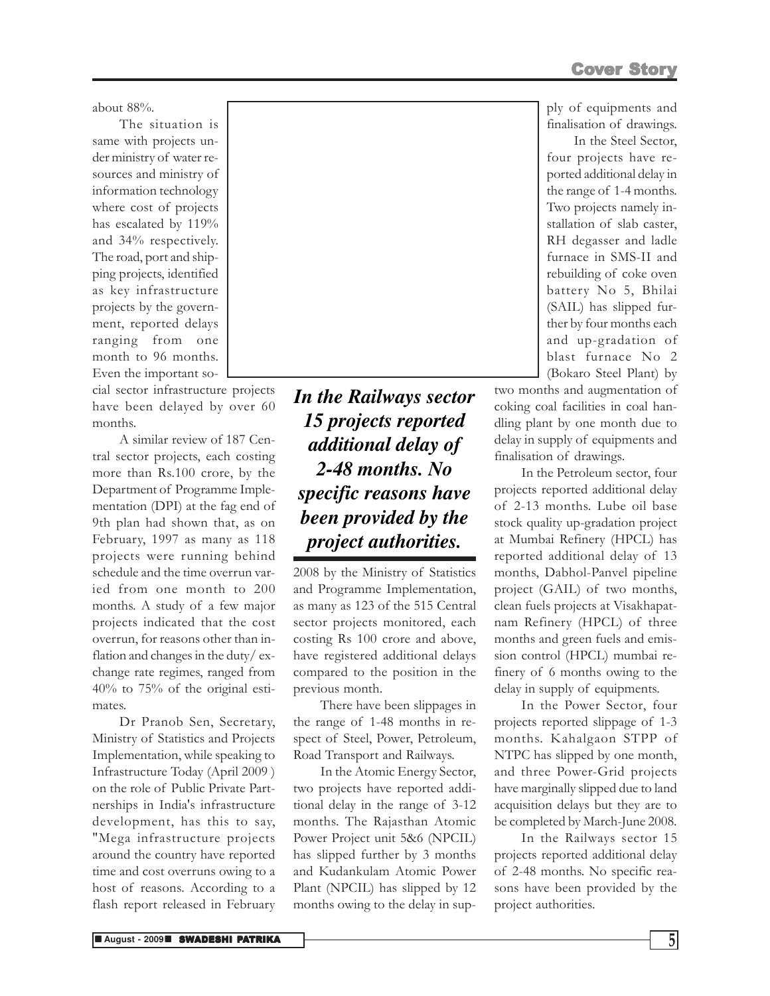Cover Story

ply of equipments and finalisation of drawings.

In the Steel Sector, four projects have reported additional delay in the range of 1-4 months. Two projects namely installation of slab caster, RH degasser and ladle furnace in SMS-II and rebuilding of coke oven battery No 5, Bhilai (SAIL) has slipped further by four months each and up-gradation of blast furnace No 2 (Bokaro Steel Plant) by

two months and augmentation of coking coal facilities in coal handling plant by one month due to delay in supply of equipments and finalisation of drawings.

In the Petroleum sector, four projects reported additional delay of 2-13 months. Lube oil base stock quality up-gradation project at Mumbai Refinery (HPCL) has reported additional delay of 13 months, Dabhol-Panvel pipeline project (GAIL) of two months, clean fuels projects at Visakhapatnam Refinery (HPCL) of three months and green fuels and emission control (HPCL) mumbai refinery of 6 months owing to the delay in supply of equipments.

In the Power Sector, four projects reported slippage of 1-3 months. Kahalgaon STPP of NTPC has slipped by one month, and three Power-Grid projects have marginally slipped due to land acquisition delays but they are to be completed by March-June 2008.

In the Railways sector 15 projects reported additional delay of 2-48 months. No specific reasons have been provided by the project authorities.

about 88%.

The situation is same with projects under ministry of water resources and ministry of information technology where cost of projects has escalated by 119% and 34% respectively. The road, port and shipping projects, identified as key infrastructure projects by the government, reported delays ranging from one month to 96 months. Even the important so-

cial sector infrastructure projects have been delayed by over 60 months.

A similar review of 187 Central sector projects, each costing more than Rs.100 crore, by the Department of Programme Implementation (DPI) at the fag end of 9th plan had shown that, as on February, 1997 as many as 118 projects were running behind schedule and the time overrun varied from one month to 200 months. A study of a few major projects indicated that the cost overrun, for reasons other than inflation and changes in the duty/ exchange rate regimes, ranged from 40% to 75% of the original estimates.

Dr Pranob Sen, Secretary, Ministry of Statistics and Projects Implementation, while speaking to Infrastructure Today (April 2009 ) on the role of Public Private Partnerships in India's infrastructure development, has this to say, "Mega infrastructure projects around the country have reported time and cost overruns owing to a host of reasons. According to a flash report released in February

*In the Railways sector 15 projects reported additional delay of 2-48 months. No specific reasons have been provided by the project authorities.*

2008 by the Ministry of Statistics and Programme Implementation, as many as 123 of the 515 Central sector projects monitored, each costing Rs 100 crore and above, have registered additional delays compared to the position in the previous month.

There have been slippages in the range of 1-48 months in respect of Steel, Power, Petroleum, Road Transport and Railways.

In the Atomic Energy Sector, two projects have reported additional delay in the range of 3-12 months. The Rajasthan Atomic Power Project unit 5&6 (NPCIL) has slipped further by 3 months and Kudankulam Atomic Power Plant (NPCIL) has slipped by 12 months owing to the delay in sup-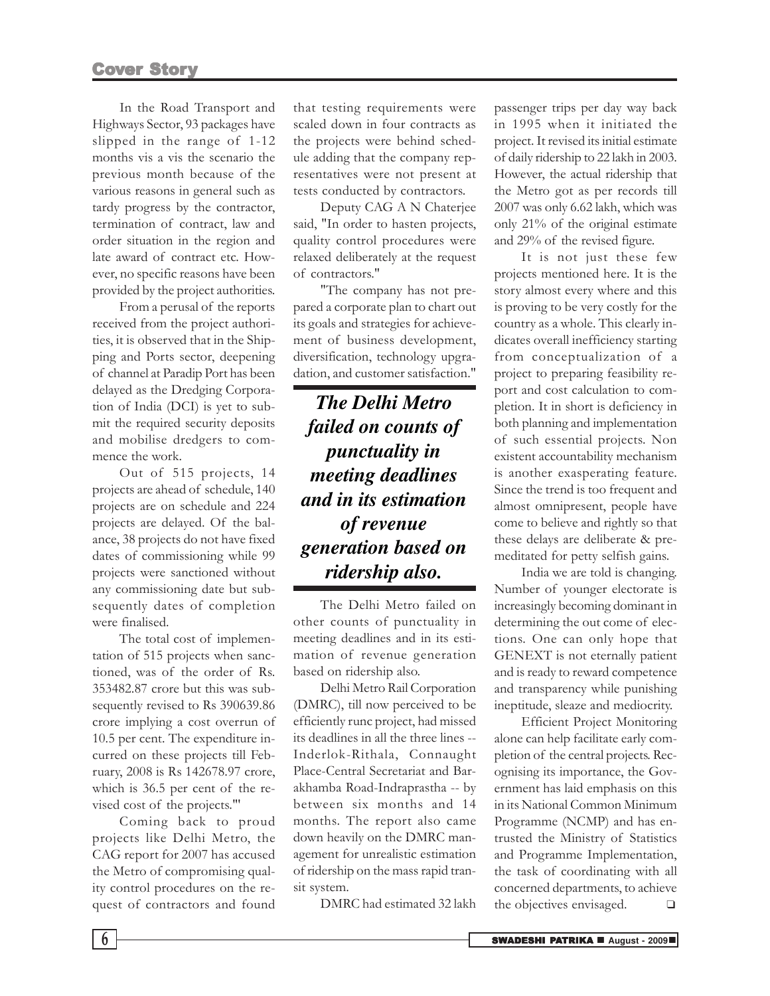In the Road Transport and Highways Sector, 93 packages have slipped in the range of 1-12 months vis a vis the scenario the previous month because of the various reasons in general such as tardy progress by the contractor, termination of contract, law and order situation in the region and late award of contract etc. However, no specific reasons have been provided by the project authorities.

From a perusal of the reports received from the project authorities, it is observed that in the Shipping and Ports sector, deepening of channel at Paradip Port has been delayed as the Dredging Corporation of India (DCI) is yet to submit the required security deposits and mobilise dredgers to commence the work.

Out of 515 projects, 14 projects are ahead of schedule, 140 projects are on schedule and 224 projects are delayed. Of the balance, 38 projects do not have fixed dates of commissioning while 99 projects were sanctioned without any commissioning date but subsequently dates of completion were finalised.

The total cost of implementation of 515 projects when sanctioned, was of the order of Rs. 353482.87 crore but this was subsequently revised to Rs 390639.86 crore implying a cost overrun of 10.5 per cent. The expenditure incurred on these projects till February, 2008 is Rs 142678.97 crore, which is 36.5 per cent of the revised cost of the projects."'

Coming back to proud projects like Delhi Metro, the CAG report for 2007 has accused the Metro of compromising quality control procedures on the request of contractors and found

that testing requirements were scaled down in four contracts as the projects were behind schedule adding that the company representatives were not present at tests conducted by contractors.

Deputy CAG A N Chaterjee said, "In order to hasten projects, quality control procedures were relaxed deliberately at the request of contractors."

"The company has not prepared a corporate plan to chart out its goals and strategies for achievement of business development, diversification, technology upgradation, and customer satisfaction."

*The Delhi Metro failed on counts of punctuality in meeting deadlines and in its estimation of revenue generation based on ridership also.*

The Delhi Metro failed on other counts of punctuality in meeting deadlines and in its estimation of revenue generation based on ridership also.

Delhi Metro Rail Corporation (DMRC), till now perceived to be efficiently runc project, had missed its deadlines in all the three lines -- Inderlok-Rithala, Connaught Place-Central Secretariat and Barakhamba Road-Indraprastha -- by between six months and 14 months. The report also came down heavily on the DMRC management for unrealistic estimation of ridership on the mass rapid transit system.

DMRC had estimated 32 lakh

passenger trips per day way back in 1995 when it initiated the project. It revised its initial estimate of daily ridership to 22 lakh in 2003. However, the actual ridership that the Metro got as per records till 2007 was only 6.62 lakh, which was only 21% of the original estimate and 29% of the revised figure.

It is not just these few projects mentioned here. It is the story almost every where and this is proving to be very costly for the country as a whole. This clearly indicates overall inefficiency starting from conceptualization of a project to preparing feasibility report and cost calculation to completion. It in short is deficiency in both planning and implementation of such essential projects. Non existent accountability mechanism is another exasperating feature. Since the trend is too frequent and almost omnipresent, people have come to believe and rightly so that these delays are deliberate & premeditated for petty selfish gains.

India we are told is changing. Number of younger electorate is increasingly becoming dominant in determining the out come of elections. One can only hope that GENEXT is not eternally patient and is ready to reward competence and transparency while punishing ineptitude, sleaze and mediocrity.

Efficient Project Monitoring alone can help facilitate early completion of the central projects. Recognising its importance, the Government has laid emphasis on this in its National Common Minimum Programme (NCMP) and has entrusted the Ministry of Statistics and Programme Implementation, the task of coordinating with all concerned departments, to achieve the objectives envisaged. ❑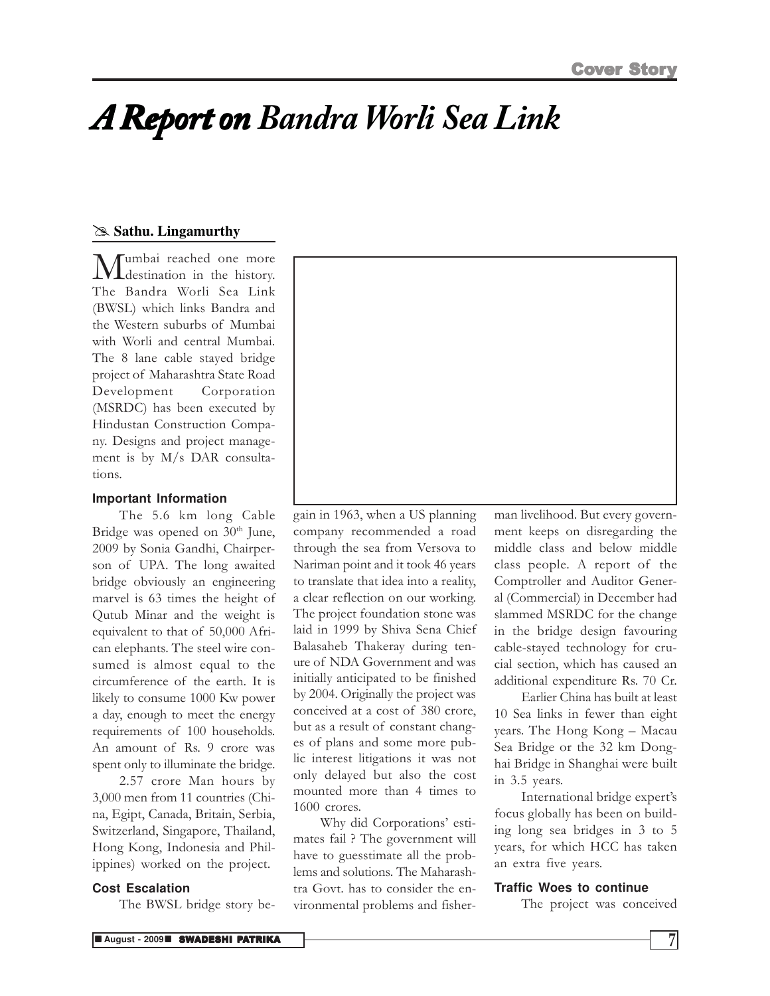## *A Report onBandra Worli Sea Link*

### @ **Sathu. Lingamurthy**

**M**umbai reached one more<br>The Bandra Worli Sea Link umbai reached one more destination in the history. (BWSL) which links Bandra and the Western suburbs of Mumbai with Worli and central Mumbai. The 8 lane cable stayed bridge project of Maharashtra State Road Development Corporation (MSRDC) has been executed by Hindustan Construction Company. Designs and project management is by M/s DAR consultations.

### **Important Information**

The 5.6 km long Cable Bridge was opened on  $30<sup>th</sup>$  June, 2009 by Sonia Gandhi, Chairperson of UPA. The long awaited bridge obviously an engineering marvel is 63 times the height of Qutub Minar and the weight is equivalent to that of 50,000 African elephants. The steel wire consumed is almost equal to the circumference of the earth. It is likely to consume 1000 Kw power a day, enough to meet the energy requirements of 100 households. An amount of Rs. 9 crore was spent only to illuminate the bridge.

2.57 crore Man hours by 3,000 men from 11 countries (China, Egipt, Canada, Britain, Serbia, Switzerland, Singapore, Thailand, Hong Kong, Indonesia and Philippines) worked on the project.

### **Cost Escalation**

The BWSL bridge story be-



gain in 1963, when a US planning company recommended a road through the sea from Versova to Nariman point and it took 46 years to translate that idea into a reality, a clear reflection on our working. The project foundation stone was laid in 1999 by Shiva Sena Chief Balasaheb Thakeray during tenure of NDA Government and was initially anticipated to be finished by 2004. Originally the project was conceived at a cost of 380 crore, but as a result of constant changes of plans and some more public interest litigations it was not only delayed but also the cost mounted more than 4 times to 1600 crores.

Why did Corporations' estimates fail ? The government will have to guesstimate all the problems and solutions. The Maharashtra Govt. has to consider the environmental problems and fisherman livelihood. But every government keeps on disregarding the middle class and below middle class people. A report of the Comptroller and Auditor General (Commercial) in December had slammed MSRDC for the change in the bridge design favouring cable-stayed technology for crucial section, which has caused an additional expenditure Rs. 70 Cr.

Earlier China has built at least 10 Sea links in fewer than eight years. The Hong Kong – Macau Sea Bridge or the 32 km Donghai Bridge in Shanghai were built in 3.5 years.

International bridge expert's focus globally has been on building long sea bridges in 3 to 5 years, for which HCC has taken an extra five years.

### **Traffic Woes to continue**

The project was conceived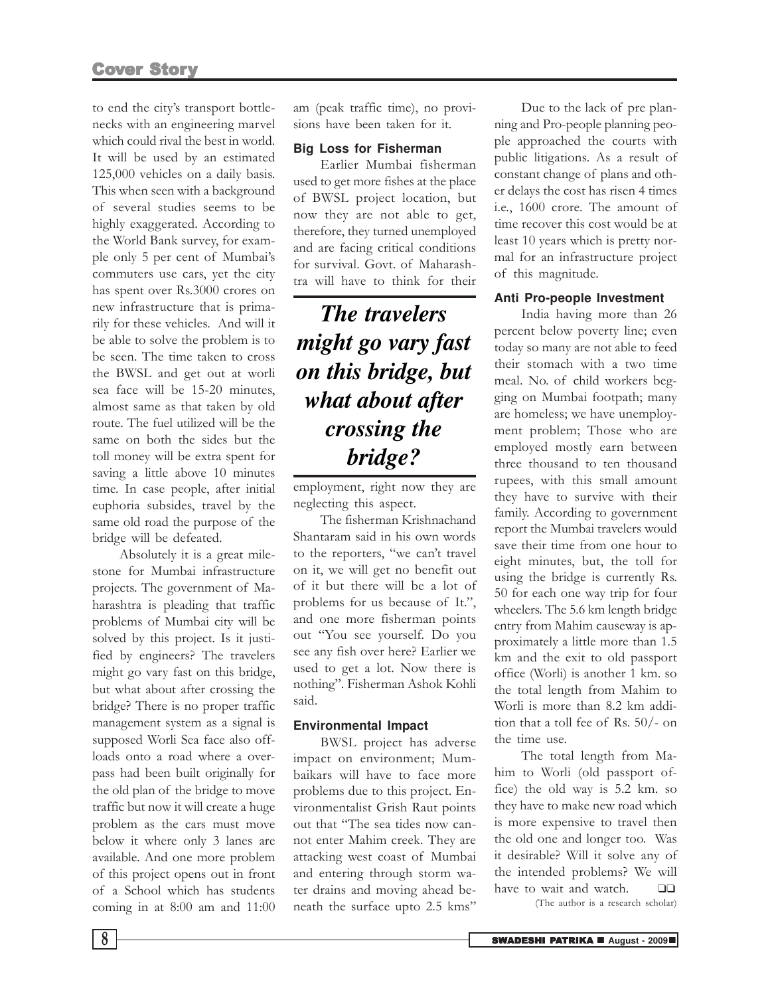to end the city's transport bottlenecks with an engineering marvel which could rival the best in world. It will be used by an estimated 125,000 vehicles on a daily basis. This when seen with a background of several studies seems to be highly exaggerated. According to the World Bank survey, for example only 5 per cent of Mumbai's commuters use cars, yet the city has spent over Rs.3000 crores on new infrastructure that is primarily for these vehicles. And will it be able to solve the problem is to be seen. The time taken to cross the BWSL and get out at worli sea face will be 15-20 minutes, almost same as that taken by old route. The fuel utilized will be the same on both the sides but the toll money will be extra spent for saving a little above 10 minutes time. In case people, after initial euphoria subsides, travel by the same old road the purpose of the bridge will be defeated.

Absolutely it is a great milestone for Mumbai infrastructure projects. The government of Maharashtra is pleading that traffic problems of Mumbai city will be solved by this project. Is it justified by engineers? The travelers might go vary fast on this bridge, but what about after crossing the bridge? There is no proper traffic management system as a signal is supposed Worli Sea face also offloads onto a road where a overpass had been built originally for the old plan of the bridge to move traffic but now it will create a huge problem as the cars must move below it where only 3 lanes are available. And one more problem of this project opens out in front of a School which has students coming in at 8:00 am and 11:00 am (peak traffic time), no provisions have been taken for it.

#### **Big Loss for Fisherman**

Earlier Mumbai fisherman used to get more fishes at the place of BWSL project location, but now they are not able to get, therefore, they turned unemployed and are facing critical conditions for survival. Govt. of Maharashtra will have to think for their

### *The travelers might go vary fast on this bridge, but what about after crossing the bridge?*

employment, right now they are neglecting this aspect.

The fisherman Krishnachand Shantaram said in his own words to the reporters, "we can't travel on it, we will get no benefit out of it but there will be a lot of problems for us because of It.", and one more fisherman points out "You see yourself. Do you see any fish over here? Earlier we used to get a lot. Now there is nothing". Fisherman Ashok Kohli said.

### **Environmental Impact**

BWSL project has adverse impact on environment; Mumbaikars will have to face more problems due to this project. Environmentalist Grish Raut points out that "The sea tides now cannot enter Mahim creek. They are attacking west coast of Mumbai and entering through storm water drains and moving ahead beneath the surface upto 2.5 kms"

Due to the lack of pre planning and Pro-people planning people approached the courts with public litigations. As a result of constant change of plans and other delays the cost has risen 4 times i.e., 1600 crore. The amount of time recover this cost would be at least 10 years which is pretty normal for an infrastructure project of this magnitude.

### **Anti Pro-people Investment**

India having more than 26 percent below poverty line; even today so many are not able to feed their stomach with a two time meal. No. of child workers begging on Mumbai footpath; many are homeless; we have unemployment problem; Those who are employed mostly earn between three thousand to ten thousand rupees, with this small amount they have to survive with their family. According to government report the Mumbai travelers would save their time from one hour to eight minutes, but, the toll for using the bridge is currently Rs. 50 for each one way trip for four wheelers. The 5.6 km length bridge entry from Mahim causeway is approximately a little more than 1.5 km and the exit to old passport office (Worli) is another 1 km. so the total length from Mahim to Worli is more than 8.2 km addition that a toll fee of Rs. 50/- on the time use.

The total length from Mahim to Worli (old passport office) the old way is 5.2 km. so they have to make new road which is more expensive to travel then the old one and longer too. Was it desirable? Will it solve any of the intended problems? We will have to wait and watch. ❑❑

(The author is a research scholar)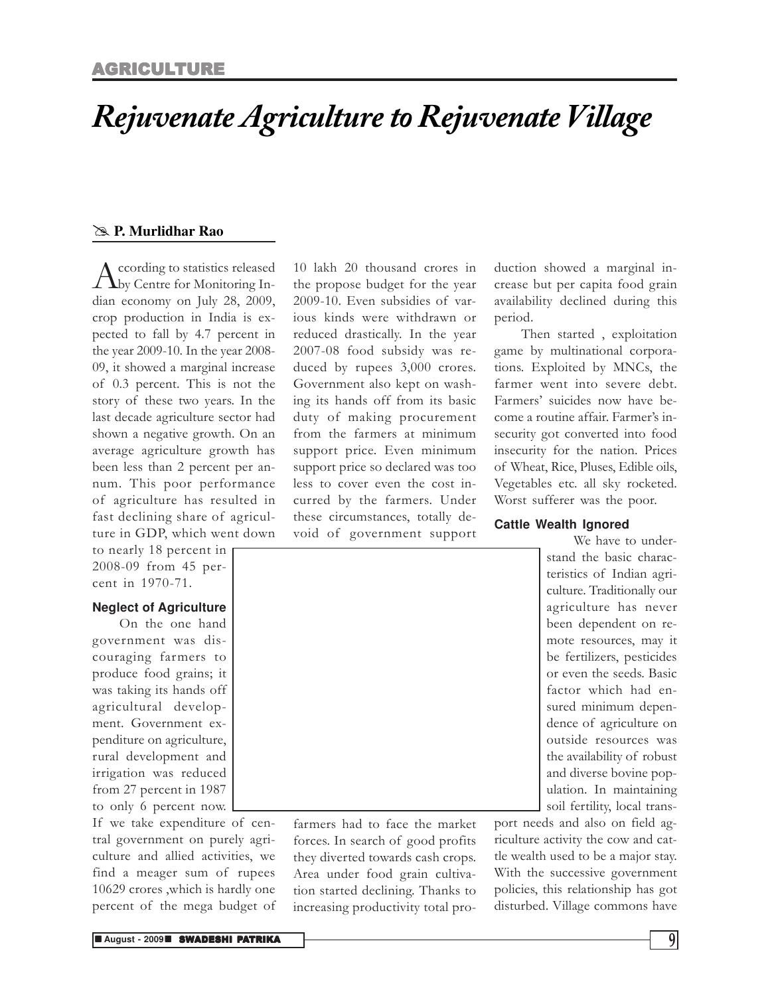### *Rejuvenate Agriculture to Rejuvenate Village*

### @ **P. Murlidhar Rao**

A ccording to statistics released<br>
by Centre for Monitoring Inccording to statistics released dian economy on July 28, 2009, crop production in India is expected to fall by 4.7 percent in the year 2009-10. In the year 2008- 09, it showed a marginal increase of 0.3 percent. This is not the story of these two years. In the last decade agriculture sector had shown a negative growth. On an average agriculture growth has been less than 2 percent per annum. This poor performance of agriculture has resulted in fast declining share of agriculture in GDP, which went down

to nearly 18 percent in 2008-09 from 45 percent in 1970-71.

### **Neglect of Agriculture**

On the one hand government was discouraging farmers to produce food grains; it was taking its hands off agricultural development. Government expenditure on agriculture, rural development and irrigation was reduced from 27 percent in 1987 to only 6 percent now.

If we take expenditure of central government on purely agriculture and allied activities, we find a meager sum of rupees 10629 crores ,which is hardly one percent of the mega budget of

10 lakh 20 thousand crores in the propose budget for the year 2009-10. Even subsidies of various kinds were withdrawn or reduced drastically. In the year 2007-08 food subsidy was reduced by rupees 3,000 crores. Government also kept on washing its hands off from its basic duty of making procurement from the farmers at minimum support price. Even minimum support price so declared was too less to cover even the cost incurred by the farmers. Under these circumstances, totally devoid of government support

duction showed a marginal increase but per capita food grain availability declined during this period.

Then started , exploitation game by multinational corporations. Exploited by MNCs, the farmer went into severe debt. Farmers' suicides now have become a routine affair. Farmer's insecurity got converted into food insecurity for the nation. Prices of Wheat, Rice, Pluses, Edible oils, Vegetables etc. all sky rocketed. Worst sufferer was the poor.

### **Cattle Wealth Ignored**

We have to understand the basic characteristics of Indian agriculture. Traditionally our agriculture has never been dependent on remote resources, may it be fertilizers, pesticides or even the seeds. Basic factor which had ensured minimum dependence of agriculture on outside resources was the availability of robust and diverse bovine population. In maintaining soil fertility, local trans-

port needs and also on field agriculture activity the cow and cattle wealth used to be a major stay. With the successive government policies, this relationship has got disturbed. Village commons have

farmers had to face the market forces. In search of good profits they diverted towards cash crops. Area under food grain cultivation started declining. Thanks to increasing productivity total pro-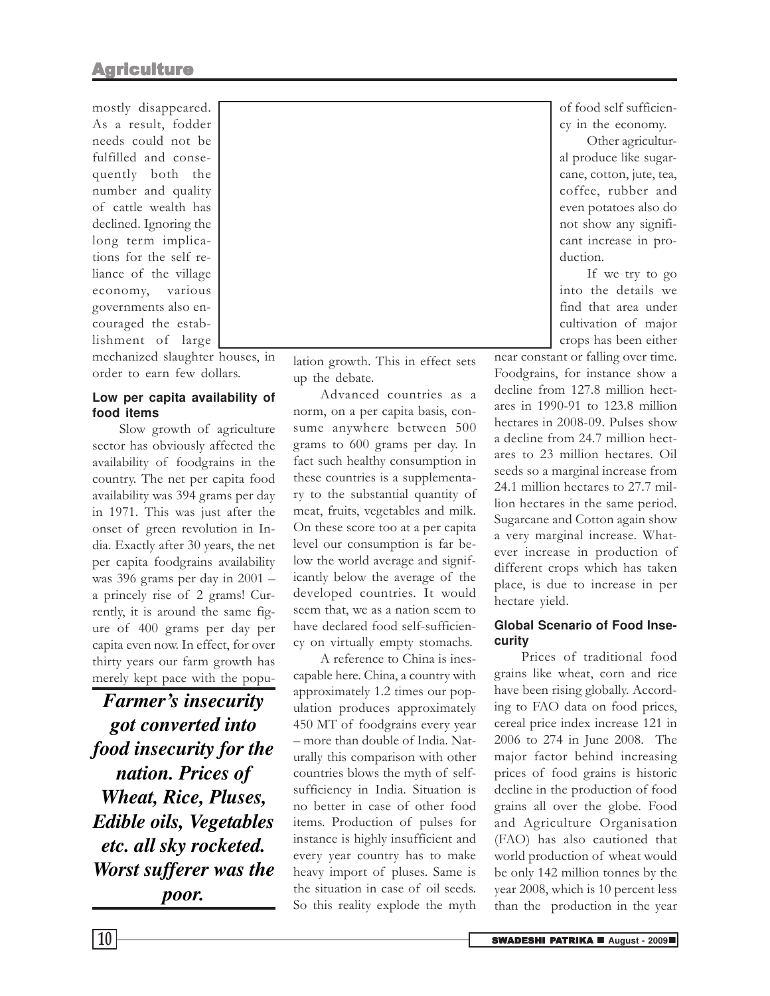mostly disappeared. As a result, fodder needs could not be fulfilled and consequently both the number and quality of cattle wealth has declined. Ignoring the long term implications for the self reliance of the village economy, various governments also encouraged the establishment of large

mechanized slaughter houses, in order to earn few dollars.

### **Low per capita availability of food items**

Slow growth of agriculture sector has obviously affected the availability of foodgrains in the country. The net per capita food availability was 394 grams per day in 1971. This was just after the onset of green revolution in India. Exactly after 30 years, the net per capita foodgrains availability was 396 grams per day in 2001 – a princely rise of 2 grams! Currently, it is around the same figure of 400 grams per day per capita even now. In effect, for over thirty years our farm growth has merely kept pace with the popu-

*Farmer's insecurity got converted into food insecurity for the nation. Prices of Wheat, Rice, Pluses, Edible oils, Vegetables etc. all sky rocketed. Worst sufferer was the poor.*

lation growth. This in effect sets up the debate.

Advanced countries as a norm, on a per capita basis, consume anywhere between 500 grams to 600 grams per day. In fact such healthy consumption in these countries is a supplementary to the substantial quantity of meat, fruits, vegetables and milk. On these score too at a per capita level our consumption is far below the world average and significantly below the average of the developed countries. It would seem that, we as a nation seem to have declared food self-sufficiency on virtually empty stomachs.

A reference to China is inescapable here. China, a country with approximately 1.2 times our population produces approximately 450 MT of foodgrains every year – more than double of India. Naturally this comparison with other countries blows the myth of selfsufficiency in India. Situation is no better in case of other food items. Production of pulses for instance is highly insufficient and every year country has to make heavy import of pluses. Same is the situation in case of oil seeds. So this reality explode the myth

of food self sufficiency in the economy.

Other agricultural produce like sugarcane, cotton, jute, tea, coffee, rubber and even potatoes also do not show any significant increase in production.

If we try to go into the details we find that area under cultivation of major crops has been either

near constant or falling over time. Foodgrains, for instance show a decline from 127.8 million hectares in 1990-91 to 123.8 million hectares in 2008-09. Pulses show a decline from 24.7 million hectares to 23 million hectares. Oil seeds so a marginal increase from 24.1 million hectares to 27.7 million hectares in the same period. Sugarcane and Cotton again show a very marginal increase. Whatever increase in production of different crops which has taken place, is due to increase in per hectare yield.

### **Global Scenario of Food Insecurity**

Prices of traditional food grains like wheat, corn and rice have been rising globally. According to FAO data on food prices, cereal price index increase 121 in 2006 to 274 in June 2008. The major factor behind increasing prices of food grains is historic decline in the production of food grains all over the globe. Food and Agriculture Organisation (FAO) has also cautioned that world production of wheat would be only 142 million tonnes by the year 2008, which is 10 percent less than the production in the year

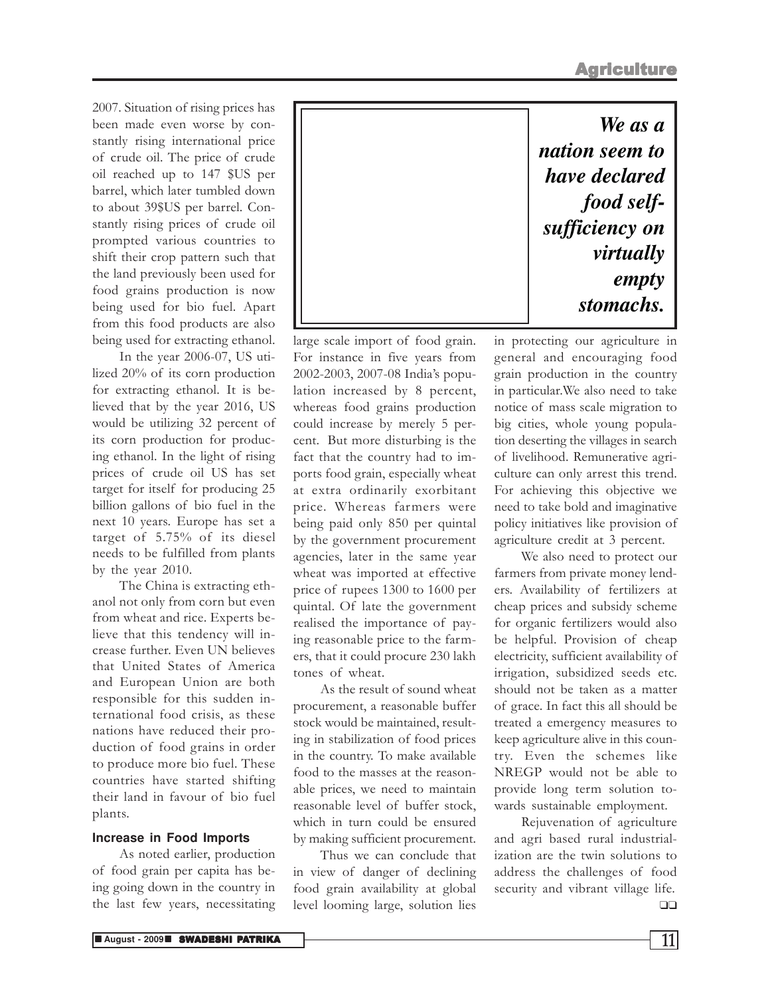2007. Situation of rising prices has been made even worse by constantly rising international price of crude oil. The price of crude oil reached up to 147 \$US per barrel, which later tumbled down to about 39\$US per barrel. Constantly rising prices of crude oil prompted various countries to shift their crop pattern such that the land previously been used for food grains production is now being used for bio fuel. Apart from this food products are also being used for extracting ethanol.

In the year 2006-07, US utilized 20% of its corn production for extracting ethanol. It is believed that by the year 2016, US would be utilizing 32 percent of its corn production for producing ethanol. In the light of rising prices of crude oil US has set target for itself for producing 25 billion gallons of bio fuel in the next 10 years. Europe has set a target of 5.75% of its diesel needs to be fulfilled from plants by the year 2010.

The China is extracting ethanol not only from corn but even from wheat and rice. Experts believe that this tendency will increase further. Even UN believes that United States of America and European Union are both responsible for this sudden international food crisis, as these nations have reduced their production of food grains in order to produce more bio fuel. These countries have started shifting their land in favour of bio fuel plants.

### **Increase in Food Imports**

As noted earlier, production of food grain per capita has being going down in the country in the last few years, necessitating

| We as a        |
|----------------|
| nation seem to |
| have declared  |
| food self-     |
| sufficiency on |
| virtually      |
| empty          |
| stomachs.      |

large scale import of food grain. For instance in five years from 2002-2003, 2007-08 India's population increased by 8 percent, whereas food grains production could increase by merely 5 percent. But more disturbing is the fact that the country had to imports food grain, especially wheat at extra ordinarily exorbitant price. Whereas farmers were being paid only 850 per quintal by the government procurement agencies, later in the same year wheat was imported at effective price of rupees 1300 to 1600 per quintal. Of late the government realised the importance of paying reasonable price to the farmers, that it could procure 230 lakh tones of wheat.

As the result of sound wheat procurement, a reasonable buffer stock would be maintained, resulting in stabilization of food prices in the country. To make available food to the masses at the reasonable prices, we need to maintain reasonable level of buffer stock, which in turn could be ensured by making sufficient procurement.

Thus we can conclude that in view of danger of declining food grain availability at global level looming large, solution lies

in protecting our agriculture in general and encouraging food grain production in the country in particular.We also need to take notice of mass scale migration to big cities, whole young population deserting the villages in search of livelihood. Remunerative agriculture can only arrest this trend. For achieving this objective we need to take bold and imaginative policy initiatives like provision of agriculture credit at 3 percent.

We also need to protect our farmers from private money lenders. Availability of fertilizers at cheap prices and subsidy scheme for organic fertilizers would also be helpful. Provision of cheap electricity, sufficient availability of irrigation, subsidized seeds etc. should not be taken as a matter of grace. In fact this all should be treated a emergency measures to keep agriculture alive in this country. Even the schemes like NREGP would not be able to provide long term solution towards sustainable employment.

Rejuvenation of agriculture and agri based rural industrialization are the twin solutions to address the challenges of food security and vibrant village life. ❑❑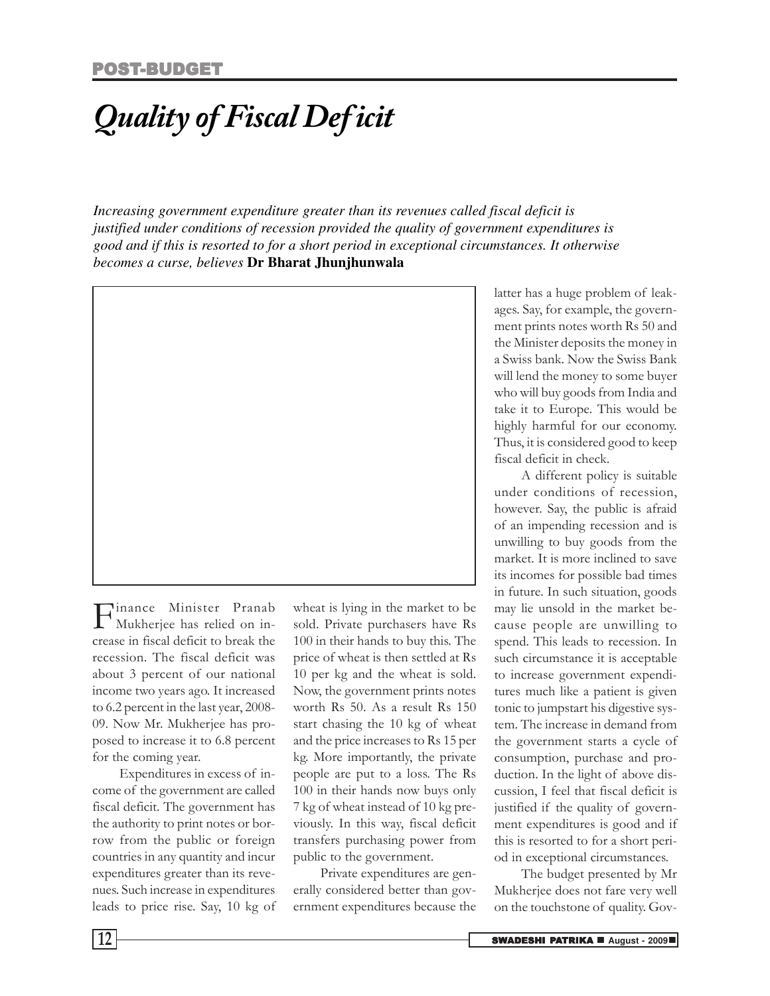## *Quality of Fiscal Deficit*

*Increasing government expenditure greater than its revenues called fiscal deficit is justified under conditions of recession provided the quality of government expenditures is good and if this is resorted to for a short period in exceptional circumstances. It otherwise becomes a curse, believes* **Dr Bharat Jhunjhunwala**



**F** inance Minister Pranab<br>Mukherjee has relied on in-<br>crease in fiscal deficit to break the inance Minister Pranab Mukherjee has relied on inrecession. The fiscal deficit was about 3 percent of our national income two years ago. It increased to 6.2 percent in the last year, 2008- 09. Now Mr. Mukherjee has proposed to increase it to 6.8 percent for the coming year.

Expenditures in excess of income of the government are called fiscal deficit. The government has the authority to print notes or borrow from the public or foreign countries in any quantity and incur expenditures greater than its revenues. Such increase in expenditures leads to price rise. Say, 10 kg of

wheat is lying in the market to be sold. Private purchasers have Rs 100 in their hands to buy this. The price of wheat is then settled at Rs 10 per kg and the wheat is sold. Now, the government prints notes worth Rs 50. As a result Rs 150 start chasing the 10 kg of wheat and the price increases to Rs 15 per kg. More importantly, the private people are put to a loss. The Rs 100 in their hands now buys only 7 kg of wheat instead of 10 kg previously. In this way, fiscal deficit transfers purchasing power from public to the government.

Private expenditures are generally considered better than government expenditures because the

latter has a huge problem of leakages. Say, for example, the government prints notes worth Rs 50 and the Minister deposits the money in a Swiss bank. Now the Swiss Bank will lend the money to some buyer who will buy goods from India and take it to Europe. This would be highly harmful for our economy. Thus, it is considered good to keep fiscal deficit in check.

A different policy is suitable under conditions of recession, however. Say, the public is afraid of an impending recession and is unwilling to buy goods from the market. It is more inclined to save its incomes for possible bad times in future. In such situation, goods may lie unsold in the market because people are unwilling to spend. This leads to recession. In such circumstance it is acceptable to increase government expenditures much like a patient is given tonic to jumpstart his digestive system. The increase in demand from the government starts a cycle of consumption, purchase and production. In the light of above discussion, I feel that fiscal deficit is justified if the quality of government expenditures is good and if this is resorted to for a short period in exceptional circumstances.

The budget presented by Mr Mukherjee does not fare very well on the touchstone of quality. Gov-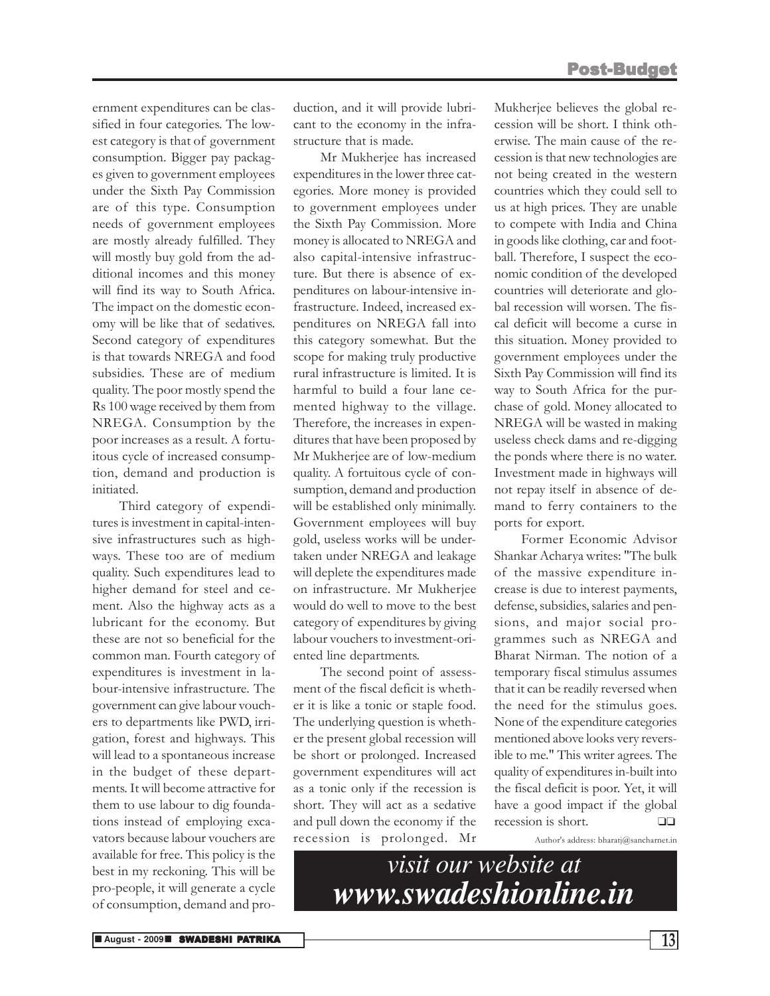ernment expenditures can be classified in four categories. The lowest category is that of government consumption. Bigger pay packages given to government employees under the Sixth Pay Commission are of this type. Consumption needs of government employees are mostly already fulfilled. They will mostly buy gold from the additional incomes and this money will find its way to South Africa. The impact on the domestic economy will be like that of sedatives. Second category of expenditures is that towards NREGA and food subsidies. These are of medium quality. The poor mostly spend the Rs 100 wage received by them from NREGA. Consumption by the poor increases as a result. A fortuitous cycle of increased consumption, demand and production is initiated.

Third category of expenditures is investment in capital-intensive infrastructures such as highways. These too are of medium quality. Such expenditures lead to higher demand for steel and cement. Also the highway acts as a lubricant for the economy. But these are not so beneficial for the common man. Fourth category of expenditures is investment in labour-intensive infrastructure. The government can give labour vouchers to departments like PWD, irrigation, forest and highways. This will lead to a spontaneous increase in the budget of these departments. It will become attractive for them to use labour to dig foundations instead of employing excavators because labour vouchers are available for free. This policy is the best in my reckoning. This will be pro-people, it will generate a cycle of consumption, demand and production, and it will provide lubricant to the economy in the infrastructure that is made.

Mr Mukherjee has increased expenditures in the lower three categories. More money is provided to government employees under the Sixth Pay Commission. More money is allocated to NREGA and also capital-intensive infrastructure. But there is absence of expenditures on labour-intensive infrastructure. Indeed, increased expenditures on NREGA fall into this category somewhat. But the scope for making truly productive rural infrastructure is limited. It is harmful to build a four lane cemented highway to the village. Therefore, the increases in expenditures that have been proposed by Mr Mukherjee are of low-medium quality. A fortuitous cycle of consumption, demand and production will be established only minimally. Government employees will buy gold, useless works will be undertaken under NREGA and leakage will deplete the expenditures made on infrastructure. Mr Mukherjee would do well to move to the best category of expenditures by giving labour vouchers to investment-oriented line departments.

The second point of assessment of the fiscal deficit is whether it is like a tonic or staple food. The underlying question is whether the present global recession will be short or prolonged. Increased government expenditures will act as a tonic only if the recession is short. They will act as a sedative and pull down the economy if the recession is prolonged. Mr

Mukherjee believes the global recession will be short. I think otherwise. The main cause of the recession is that new technologies are not being created in the western countries which they could sell to us at high prices. They are unable to compete with India and China in goods like clothing, car and football. Therefore, I suspect the economic condition of the developed countries will deteriorate and global recession will worsen. The fiscal deficit will become a curse in this situation. Money provided to government employees under the Sixth Pay Commission will find its way to South Africa for the purchase of gold. Money allocated to NREGA will be wasted in making useless check dams and re-digging the ponds where there is no water. Investment made in highways will not repay itself in absence of demand to ferry containers to the ports for export.

Former Economic Advisor Shankar Acharya writes: "The bulk of the massive expenditure increase is due to interest payments, defense, subsidies, salaries and pensions, and major social programmes such as NREGA and Bharat Nirman. The notion of a temporary fiscal stimulus assumes that it can be readily reversed when the need for the stimulus goes. None of the expenditure categories mentioned above looks very reversible to me." This writer agrees. The quality of expenditures in-built into the fiscal deficit is poor. Yet, it will have a good impact if the global recession is short. ❑❑

Author's address: bharatj@sancharnet.in

*visit our website at www.swadeshionline.in*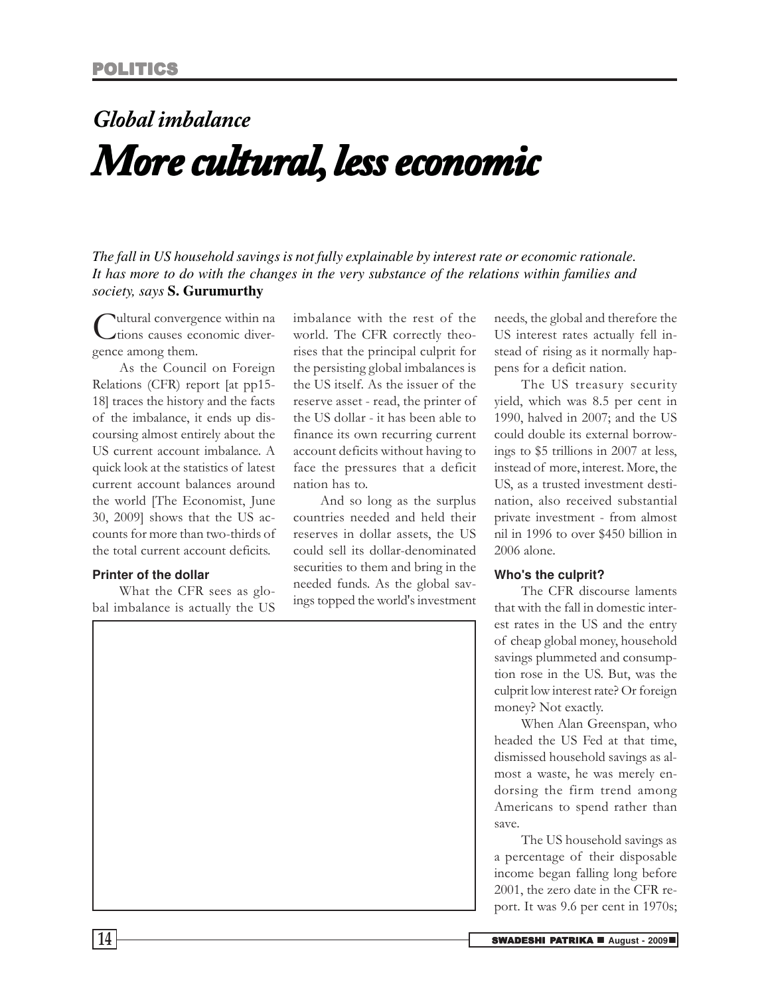## *Global imbalance More cultural, less economic*

*The fall in US household savings is not fully explainable by interest rate or economic rationale. It has more to do with the changes in the very substance of the relations within families and society, says* **S. Gurumurthy**

Cultural convergence among them. ultural convergence within na tions causes economic diver-

As the Council on Foreign Relations (CFR) report [at pp15- 18] traces the history and the facts of the imbalance, it ends up discoursing almost entirely about the US current account imbalance. A quick look at the statistics of latest current account balances around the world [The Economist, June 30, 2009] shows that the US accounts for more than two-thirds of the total current account deficits.

### **Printer of the dollar**

What the CFR sees as global imbalance is actually the US imbalance with the rest of the world. The CFR correctly theorises that the principal culprit for the persisting global imbalances is the US itself. As the issuer of the reserve asset - read, the printer of the US dollar - it has been able to finance its own recurring current account deficits without having to face the pressures that a deficit nation has to.

And so long as the surplus countries needed and held their reserves in dollar assets, the US could sell its dollar-denominated securities to them and bring in the needed funds. As the global savings topped the world's investment

needs, the global and therefore the US interest rates actually fell instead of rising as it normally happens for a deficit nation.

The US treasury security yield, which was 8.5 per cent in 1990, halved in 2007; and the US could double its external borrowings to \$5 trillions in 2007 at less, instead of more, interest. More, the US, as a trusted investment destination, also received substantial private investment - from almost nil in 1996 to over \$450 billion in 2006 alone.

#### **Who's the culprit?**

The CFR discourse laments that with the fall in domestic interest rates in the US and the entry of cheap global money, household savings plummeted and consumption rose in the US. But, was the culprit low interest rate? Or foreign money? Not exactly.

When Alan Greenspan, who headed the US Fed at that time, dismissed household savings as almost a waste, he was merely endorsing the firm trend among Americans to spend rather than save.

The US household savings as a percentage of their disposable income began falling long before 2001, the zero date in the CFR report. It was 9.6 per cent in 1970s;

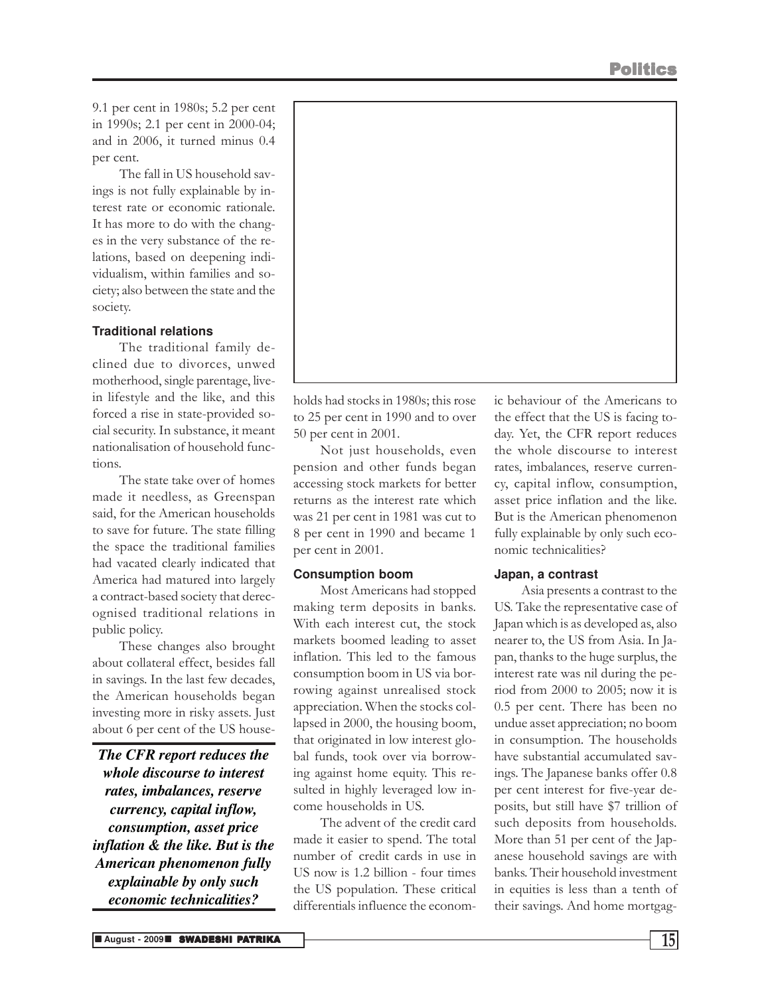9.1 per cent in 1980s; 5.2 per cent in 1990s; 2.1 per cent in 2000-04; and in 2006, it turned minus 0.4 per cent.

The fall in US household savings is not fully explainable by interest rate or economic rationale. It has more to do with the changes in the very substance of the relations, based on deepening individualism, within families and society; also between the state and the society.

### **Traditional relations**

The traditional family declined due to divorces, unwed motherhood, single parentage, livein lifestyle and the like, and this forced a rise in state-provided social security. In substance, it meant nationalisation of household functions.

The state take over of homes made it needless, as Greenspan said, for the American households to save for future. The state filling the space the traditional families had vacated clearly indicated that America had matured into largely a contract-based society that derecognised traditional relations in public policy.

These changes also brought about collateral effect, besides fall in savings. In the last few decades, the American households began investing more in risky assets. Just about 6 per cent of the US house-

*The CFR report reduces the whole discourse to interest rates, imbalances, reserve currency, capital inflow, consumption, asset price inflation & the like. But is the American phenomenon fully explainable by only such economic technicalities?*



holds had stocks in 1980s; this rose to 25 per cent in 1990 and to over 50 per cent in 2001.

Not just households, even pension and other funds began accessing stock markets for better returns as the interest rate which was 21 per cent in 1981 was cut to 8 per cent in 1990 and became 1 per cent in 2001.

### **Consumption boom**

Most Americans had stopped making term deposits in banks. With each interest cut, the stock markets boomed leading to asset inflation. This led to the famous consumption boom in US via borrowing against unrealised stock appreciation. When the stocks collapsed in 2000, the housing boom, that originated in low interest global funds, took over via borrowing against home equity. This resulted in highly leveraged low income households in US.

The advent of the credit card made it easier to spend. The total number of credit cards in use in US now is 1.2 billion - four times the US population. These critical differentials influence the economic behaviour of the Americans to the effect that the US is facing today. Yet, the CFR report reduces the whole discourse to interest rates, imbalances, reserve currency, capital inflow, consumption, asset price inflation and the like. But is the American phenomenon fully explainable by only such economic technicalities?

### **Japan, a contrast**

Asia presents a contrast to the US. Take the representative case of Japan which is as developed as, also nearer to, the US from Asia. In Japan, thanks to the huge surplus, the interest rate was nil during the period from 2000 to 2005; now it is 0.5 per cent. There has been no undue asset appreciation; no boom in consumption. The households have substantial accumulated savings. The Japanese banks offer 0.8 per cent interest for five-year deposits, but still have \$7 trillion of such deposits from households. More than 51 per cent of the Japanese household savings are with banks. Their household investment in equities is less than a tenth of their savings. And home mortgag-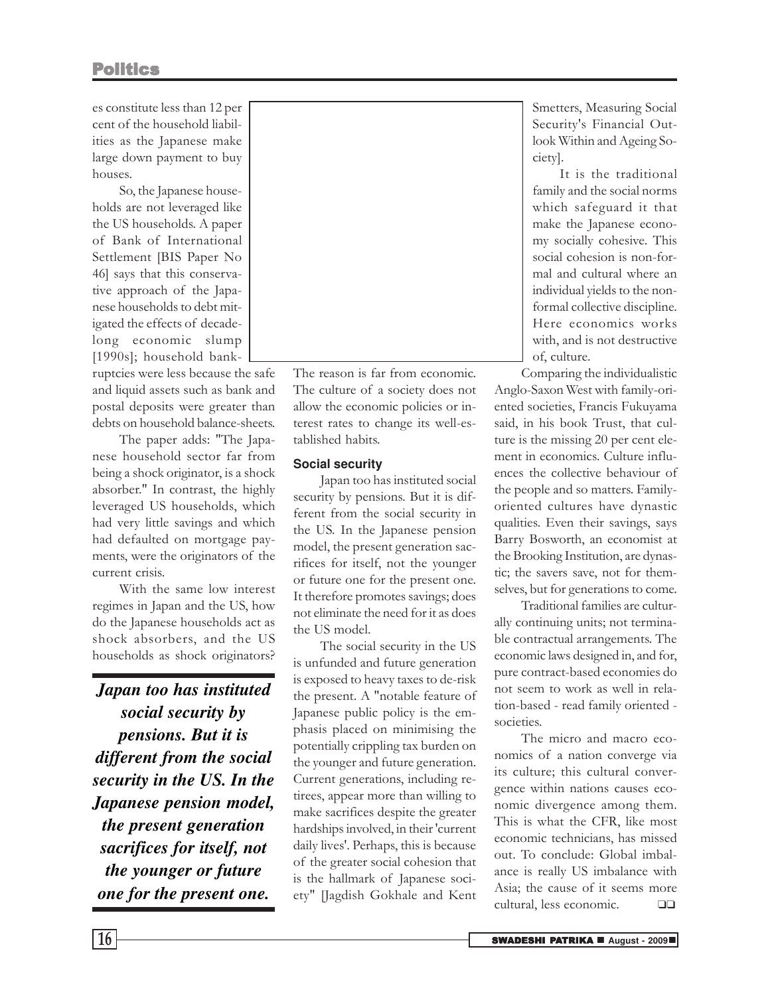es constitute less than 12 per cent of the household liabilities as the Japanese make large down payment to buy houses.

So, the Japanese households are not leveraged like the US households. A paper of Bank of International Settlement [BIS Paper No 46] says that this conservative approach of the Japanese households to debt mitigated the effects of decadelong economic slump [1990s]; household bank-

ruptcies were less because the safe and liquid assets such as bank and postal deposits were greater than debts on household balance-sheets.

The paper adds: "The Japanese household sector far from being a shock originator, is a shock absorber." In contrast, the highly leveraged US households, which had very little savings and which had defaulted on mortgage payments, were the originators of the current crisis.

With the same low interest regimes in Japan and the US, how do the Japanese households act as shock absorbers, and the US households as shock originators?

*Japan too has instituted social security by pensions. But it is different from the social security in the US. In the Japanese pension model, the present generation sacrifices for itself, not the younger or future one for the present one.*



The reason is far from economic. The culture of a society does not allow the economic policies or interest rates to change its well-established habits.

### **Social security**

Japan too has instituted social security by pensions. But it is different from the social security in the US. In the Japanese pension model, the present generation sacrifices for itself, not the younger or future one for the present one. It therefore promotes savings; does not eliminate the need for it as does the US model.

The social security in the US is unfunded and future generation is exposed to heavy taxes to de-risk the present. A "notable feature of Japanese public policy is the emphasis placed on minimising the potentially crippling tax burden on the younger and future generation. Current generations, including retirees, appear more than willing to make sacrifices despite the greater hardships involved, in their 'current daily lives'. Perhaps, this is because of the greater social cohesion that is the hallmark of Japanese society" [Jagdish Gokhale and Kent

Smetters, Measuring Social Security's Financial Outlook Within and Ageing Society].

It is the traditional family and the social norms which safeguard it that make the Japanese economy socially cohesive. This social cohesion is non-formal and cultural where an individual yields to the nonformal collective discipline. Here economics works with, and is not destructive of, culture.

Comparing the individualistic Anglo-Saxon West with family-oriented societies, Francis Fukuyama said, in his book Trust, that culture is the missing 20 per cent element in economics. Culture influences the collective behaviour of the people and so matters. Familyoriented cultures have dynastic qualities. Even their savings, says Barry Bosworth, an economist at the Brooking Institution, are dynastic; the savers save, not for themselves, but for generations to come.

Traditional families are culturally continuing units; not terminable contractual arrangements. The economic laws designed in, and for, pure contract-based economies do not seem to work as well in relation-based - read family oriented societies.

The micro and macro economics of a nation converge via its culture; this cultural convergence within nations causes economic divergence among them. This is what the CFR, like most economic technicians, has missed out. To conclude: Global imbalance is really US imbalance with Asia; the cause of it seems more cultural, less economic. ❑❑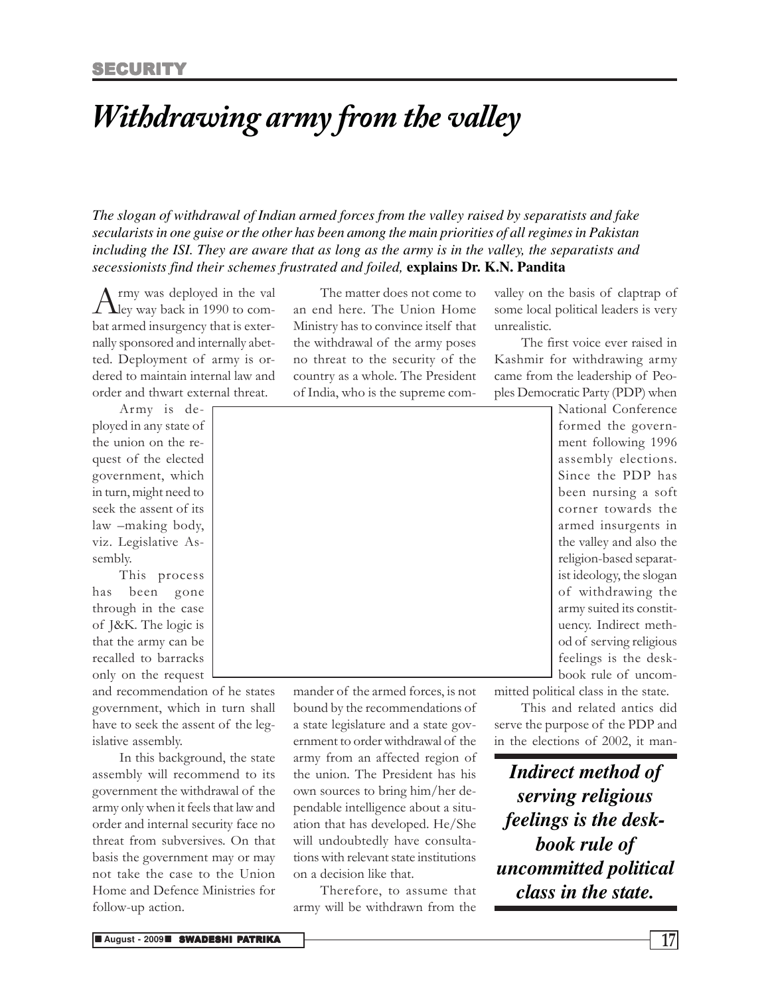### *Withdrawing army from the valley*

*The slogan of withdrawal of Indian armed forces from the valley raised by separatists and fake secularists in one guise or the other has been among the main priorities of all regimes in Pakistan including the ISI. They are aware that as long as the army is in the valley, the separatists and secessionists find their schemes frustrated and foiled,* **explains Dr. K.N. Pandita**

A rmy was deployed in the val<br>ley way back in 1990 to comrmy was deployed in the val bat armed insurgency that is externally sponsored and internally abetted. Deployment of army is ordered to maintain internal law and order and thwart external threat.

Army is deployed in any state of the union on the request of the elected government, which in turn, might need to seek the assent of its law –making body, viz. Legislative Assembly.

This process has been gone through in the case of J&K. The logic is that the army can be recalled to barracks only on the request

and recommendation of he states government, which in turn shall have to seek the assent of the legislative assembly.

In this background, the state assembly will recommend to its government the withdrawal of the army only when it feels that law and order and internal security face no threat from subversives. On that basis the government may or may not take the case to the Union Home and Defence Ministries for follow-up action.

The matter does not come to an end here. The Union Home Ministry has to convince itself that the withdrawal of the army poses no threat to the security of the country as a whole. The President of India, who is the supreme comvalley on the basis of claptrap of some local political leaders is very unrealistic.

The first voice ever raised in Kashmir for withdrawing army came from the leadership of Peoples Democratic Party (PDP) when



mander of the armed forces, is not bound by the recommendations of a state legislature and a state government to order withdrawal of the army from an affected region of the union. The President has his own sources to bring him/her dependable intelligence about a situation that has developed. He/She will undoubtedly have consultations with relevant state institutions

on a decision like that.

Therefore, to assume that army will be withdrawn from the

formed the government following 1996 assembly elections. Since the PDP has been nursing a soft corner towards the armed insurgents in the valley and also the religion-based separatist ideology, the slogan of withdrawing the army suited its constituency. Indirect method of serving religious feelings is the deskbook rule of uncommitted political class in the state.

This and related antics did serve the purpose of the PDP and in the elections of 2002, it man-

*Indirect method of serving religious feelings is the deskbook rule of uncommitted political class in the state.*

**n** August - 2009**n Swadeshi Patrika** 17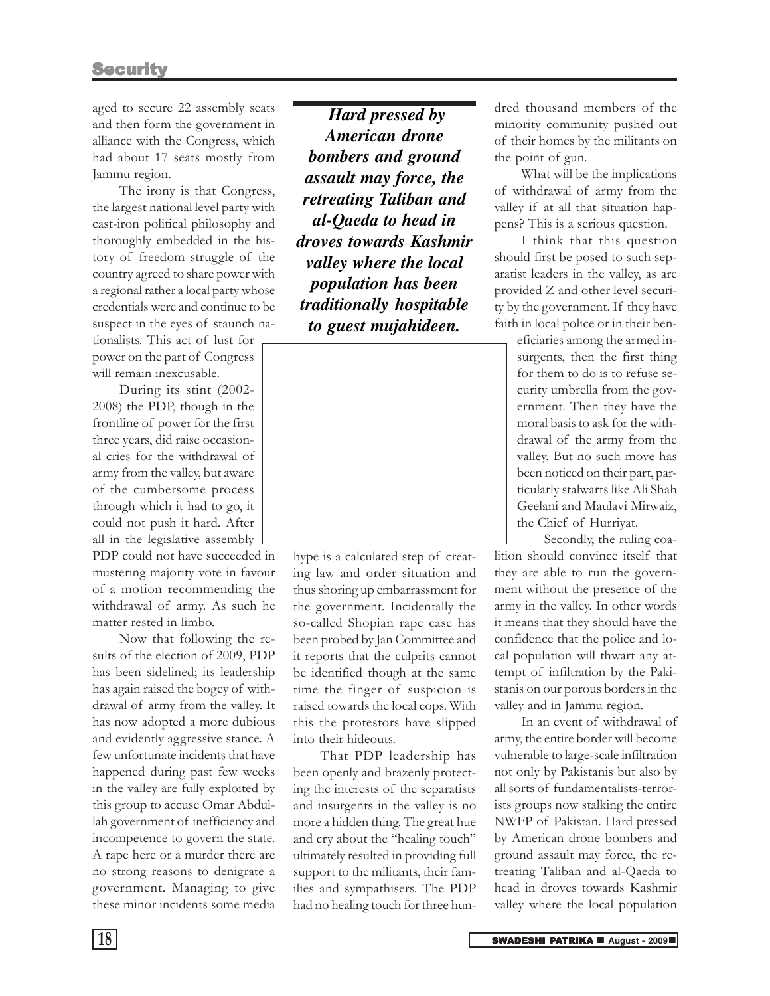aged to secure 22 assembly seats and then form the government in alliance with the Congress, which had about 17 seats mostly from Jammu region.

The irony is that Congress, the largest national level party with cast-iron political philosophy and thoroughly embedded in the history of freedom struggle of the country agreed to share power with a regional rather a local party whose credentials were and continue to be suspect in the eyes of staunch nationalists. This act of lust for power on the part of Congress

will remain inexcusable. During its stint (2002- 2008) the PDP, though in the frontline of power for the first three years, did raise occasional cries for the withdrawal of army from the valley, but aware of the cumbersome process through which it had to go, it could not push it hard. After all in the legislative assembly

PDP could not have succeeded in mustering majority vote in favour of a motion recommending the withdrawal of army. As such he matter rested in limbo.

Now that following the results of the election of 2009, PDP has been sidelined; its leadership has again raised the bogey of withdrawal of army from the valley. It has now adopted a more dubious and evidently aggressive stance. A few unfortunate incidents that have happened during past few weeks in the valley are fully exploited by this group to accuse Omar Abdullah government of inefficiency and incompetence to govern the state. A rape here or a murder there are no strong reasons to denigrate a government. Managing to give these minor incidents some media

 *Hard pressed by American drone bombers and ground assault may force, the retreating Taliban and al-Qaeda to head in droves towards Kashmir valley where the local population has been traditionally hospitable to guest mujahideen.*



hype is a calculated step of creating law and order situation and thus shoring up embarrassment for the government. Incidentally the so-called Shopian rape case has been probed by Jan Committee and it reports that the culprits cannot be identified though at the same time the finger of suspicion is raised towards the local cops. With this the protestors have slipped into their hideouts.

That PDP leadership has been openly and brazenly protecting the interests of the separatists and insurgents in the valley is no more a hidden thing. The great hue and cry about the "healing touch" ultimately resulted in providing full support to the militants, their families and sympathisers. The PDP had no healing touch for three hundred thousand members of the minority community pushed out of their homes by the militants on the point of gun.

What will be the implications of withdrawal of army from the valley if at all that situation happens? This is a serious question.

I think that this question should first be posed to such separatist leaders in the valley, as are provided Z and other level security by the government. If they have faith in local police or in their ben-

> eficiaries among the armed insurgents, then the first thing for them to do is to refuse security umbrella from the government. Then they have the moral basis to ask for the withdrawal of the army from the valley. But no such move has been noticed on their part, particularly stalwarts like Ali Shah Geelani and Maulavi Mirwaiz, the Chief of Hurriyat.

Secondly, the ruling coalition should convince itself that they are able to run the government without the presence of the army in the valley. In other words it means that they should have the confidence that the police and local population will thwart any attempt of infiltration by the Pakistanis on our porous borders in the valley and in Jammu region.

In an event of withdrawal of army, the entire border will become vulnerable to large-scale infiltration not only by Pakistanis but also by all sorts of fundamentalists-terrorists groups now stalking the entire NWFP of Pakistan. Hard pressed by American drone bombers and ground assault may force, the retreating Taliban and al-Qaeda to head in droves towards Kashmir valley where the local population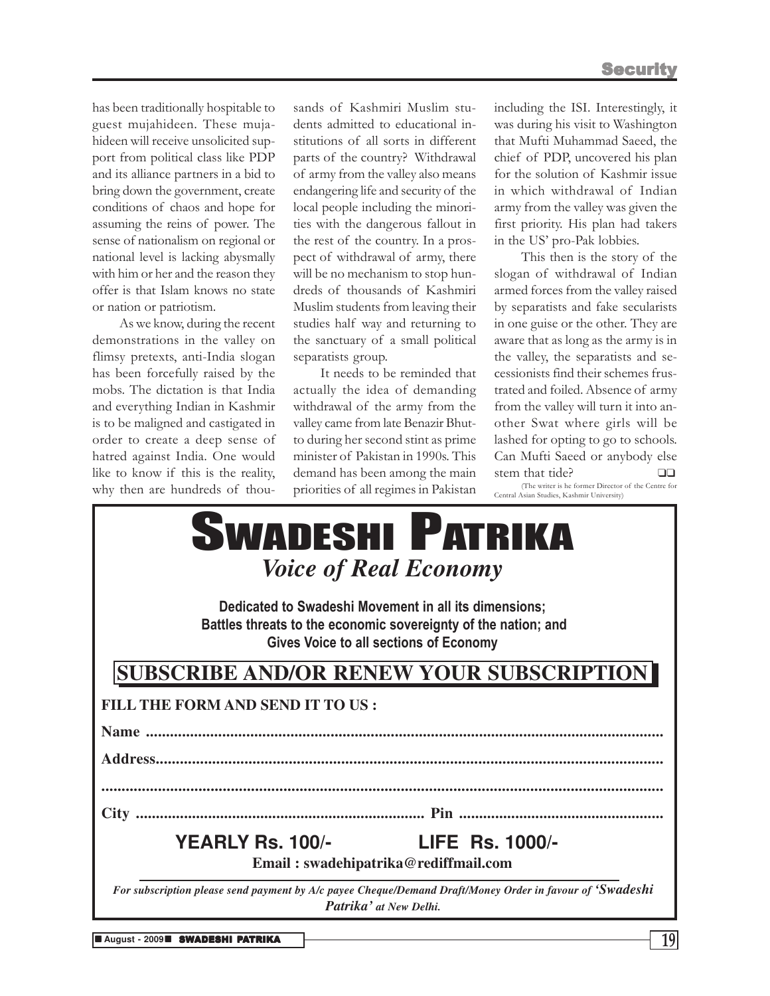has been traditionally hospitable to guest mujahideen. These mujahideen will receive unsolicited support from political class like PDP and its alliance partners in a bid to bring down the government, create conditions of chaos and hope for assuming the reins of power. The sense of nationalism on regional or national level is lacking abysmally with him or her and the reason they offer is that Islam knows no state or nation or patriotism.

As we know, during the recent demonstrations in the valley on flimsy pretexts, anti-India slogan has been forcefully raised by the mobs. The dictation is that India and everything Indian in Kashmir is to be maligned and castigated in order to create a deep sense of hatred against India. One would like to know if this is the reality, why then are hundreds of thou-

sands of Kashmiri Muslim students admitted to educational institutions of all sorts in different parts of the country? Withdrawal of army from the valley also means endangering life and security of the local people including the minorities with the dangerous fallout in the rest of the country. In a prospect of withdrawal of army, there will be no mechanism to stop hundreds of thousands of Kashmiri Muslim students from leaving their studies half way and returning to the sanctuary of a small political separatists group.

It needs to be reminded that actually the idea of demanding withdrawal of the army from the valley came from late Benazir Bhutto during her second stint as prime minister of Pakistan in 1990s. This demand has been among the main priorities of all regimes in Pakistan

including the ISI. Interestingly, it was during his visit to Washington that Mufti Muhammad Saeed, the chief of PDP, uncovered his plan for the solution of Kashmir issue in which withdrawal of Indian army from the valley was given the first priority. His plan had takers in the US' pro-Pak lobbies.

This then is the story of the slogan of withdrawal of Indian armed forces from the valley raised by separatists and fake secularists in one guise or the other. They are aware that as long as the army is in the valley, the separatists and secessionists find their schemes frustrated and foiled. Absence of army from the valley will turn it into another Swat where girls will be lashed for opting to go to schools. Can Mufti Saeed or anybody else stem that tide?  $□□$ (The writer is he former Director of the Centre for Central Asian Studies, Kashmir University)

| why then are hundreds of thou- priorities of all regimes in Pakistan                                                                                              |                                                                | (The writer is he former Director of the Centre for<br>Central Asian Studies, Kashmir University) |  |  |
|-------------------------------------------------------------------------------------------------------------------------------------------------------------------|----------------------------------------------------------------|---------------------------------------------------------------------------------------------------|--|--|
|                                                                                                                                                                   | <b>SWADESHI PATRIKA</b><br><i><b>Voice of Real Economy</b></i> |                                                                                                   |  |  |
| Dedicated to Swadeshi Movement in all its dimensions;<br>Battles threats to the economic sovereignty of the nation; and<br>Gives Voice to all sections of Economy |                                                                |                                                                                                   |  |  |
| <b>SUBSCRIBE AND/OR RENEW YOUR SUBSCRIPTION</b>                                                                                                                   |                                                                |                                                                                                   |  |  |
| FILL THE FORM AND SEND IT TO US :                                                                                                                                 |                                                                |                                                                                                   |  |  |
|                                                                                                                                                                   |                                                                |                                                                                                   |  |  |
|                                                                                                                                                                   |                                                                |                                                                                                   |  |  |
|                                                                                                                                                                   |                                                                |                                                                                                   |  |  |
|                                                                                                                                                                   |                                                                |                                                                                                   |  |  |
| YEARLY Rs. 100/-                                                                                                                                                  |                                                                | <b>LIFE Rs. 1000/-</b>                                                                            |  |  |
| Email: swadehipatrika@rediffmail.com                                                                                                                              |                                                                |                                                                                                   |  |  |
| For subscription please send payment by A/c payee Cheque/Demand Draft/Money Order in favour of 'Swadeshi                                                          | Patrika' at New Delhi.                                         |                                                                                                   |  |  |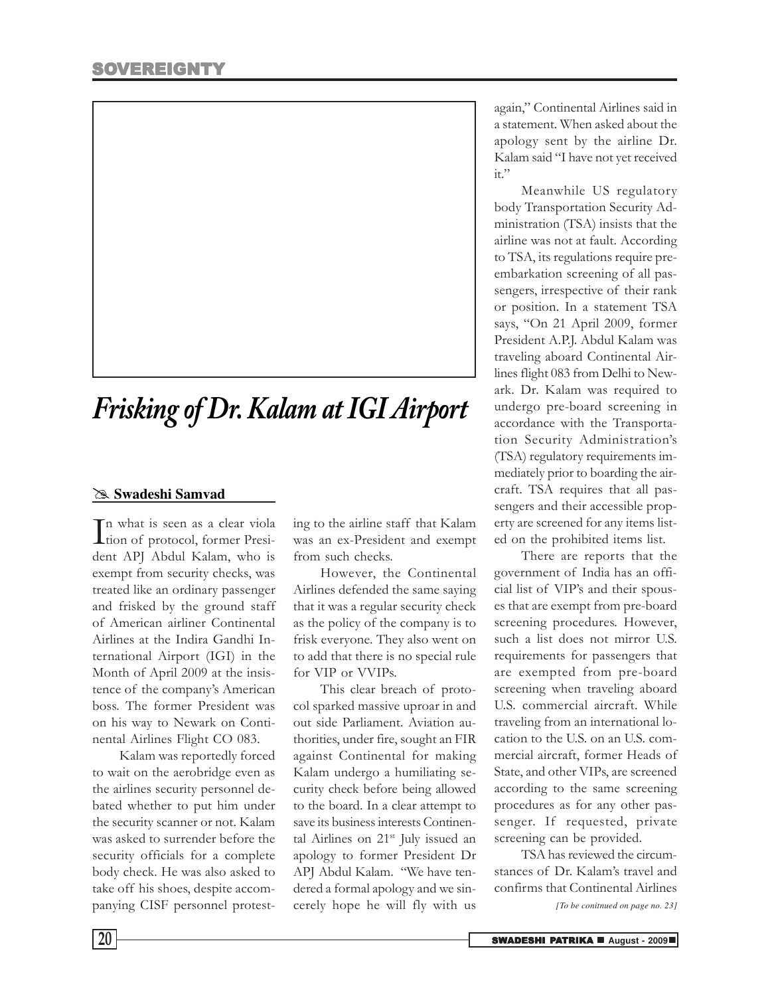

## *Frisking of Dr. Kalam at IGI Airport*

### @ **Swadeshi Samvad**

In what is seen as a clear viola<br>tion of protocol, former Presition of protocol, former President APJ Abdul Kalam, who is exempt from security checks, was treated like an ordinary passenger and frisked by the ground staff of American airliner Continental Airlines at the Indira Gandhi International Airport (IGI) in the Month of April 2009 at the insistence of the company's American boss. The former President was on his way to Newark on Continental Airlines Flight CO 083.

Kalam was reportedly forced to wait on the aerobridge even as the airlines security personnel debated whether to put him under the security scanner or not. Kalam was asked to surrender before the security officials for a complete body check. He was also asked to take off his shoes, despite accompanying CISF personnel protesting to the airline staff that Kalam was an ex-President and exempt from such checks.

However, the Continental Airlines defended the same saying that it was a regular security check as the policy of the company is to frisk everyone. They also went on to add that there is no special rule for VIP or VVIPs.

This clear breach of protocol sparked massive uproar in and out side Parliament. Aviation authorities, under fire, sought an FIR against Continental for making Kalam undergo a humiliating security check before being allowed to the board. In a clear attempt to save its business interests Continental Airlines on  $21^{st}$  July issued an apology to former President Dr APJ Abdul Kalam. "We have tendered a formal apology and we sincerely hope he will fly with us

again," Continental Airlines said in a statement. When asked about the apology sent by the airline Dr. Kalam said "I have not yet received it."

Meanwhile US regulatory body Transportation Security Administration (TSA) insists that the airline was not at fault. According to TSA, its regulations require preembarkation screening of all passengers, irrespective of their rank or position. In a statement TSA says, "On 21 April 2009, former President A.P.J. Abdul Kalam was traveling aboard Continental Airlines flight 083 from Delhi to Newark. Dr. Kalam was required to undergo pre-board screening in accordance with the Transportation Security Administration's (TSA) regulatory requirements immediately prior to boarding the aircraft. TSA requires that all passengers and their accessible property are screened for any items listed on the prohibited items list.

There are reports that the government of India has an official list of VIP's and their spouses that are exempt from pre-board screening procedures. However, such a list does not mirror U.S. requirements for passengers that are exempted from pre-board screening when traveling aboard U.S. commercial aircraft. While traveling from an international location to the U.S. on an U.S. commercial aircraft, former Heads of State, and other VIPs, are screened according to the same screening procedures as for any other passenger. If requested, private screening can be provided.

TSA has reviewed the circumstances of Dr. Kalam's travel and confirms that Continental Airlines

*[To be conitnued on page no. 23]*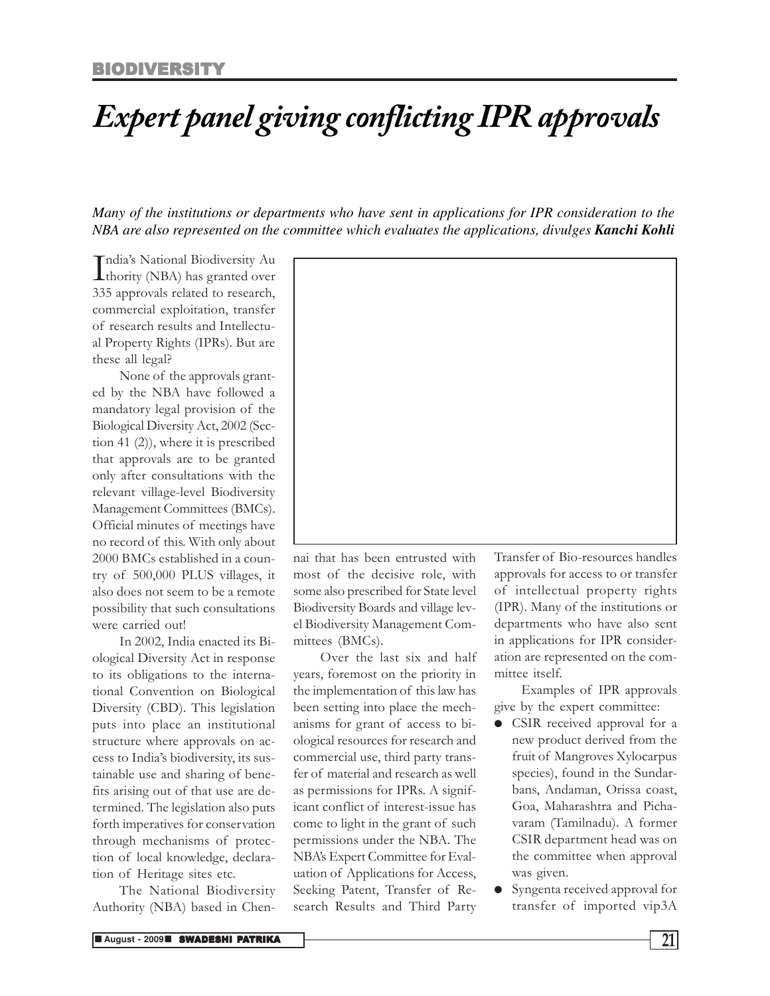## *Expert panel giving conflicting IPR approvals*

*Many of the institutions or departments who have sent in applications for IPR consideration to the NBA are also represented on the committee which evaluates the applications, divulges Kanchi Kohli*

India's National Biodiversity Au<br>thority (NBA) has granted over **L**thority (NBA) has granted over 335 approvals related to research, commercial exploitation, transfer of research results and Intellectual Property Rights (IPRs). But are these all legal?

None of the approvals granted by the NBA have followed a mandatory legal provision of the Biological Diversity Act, 2002 (Section 41 (2)), where it is prescribed that approvals are to be granted only after consultations with the relevant village-level Biodiversity Management Committees (BMCs). Official minutes of meetings have no record of this. With only about 2000 BMCs established in a country of 500,000 PLUS villages, it also does not seem to be a remote possibility that such consultations were carried out!

In 2002, India enacted its Biological Diversity Act in response to its obligations to the international Convention on Biological Diversity (CBD). This legislation puts into place an institutional structure where approvals on access to India's biodiversity, its sustainable use and sharing of benefits arising out of that use are determined. The legislation also puts forth imperatives for conservation through mechanisms of protection of local knowledge, declaration of Heritage sites etc.

The National Biodiversity Authority (NBA) based in Chen-



nai that has been entrusted with most of the decisive role, with some also prescribed for State level Biodiversity Boards and village level Biodiversity Management Committees (BMCs).

Over the last six and half years, foremost on the priority in the implementation of this law has been setting into place the mechanisms for grant of access to biological resources for research and commercial use, third party transfer of material and research as well as permissions for IPRs. A significant conflict of interest-issue has come to light in the grant of such permissions under the NBA. The NBA's Expert Committee for Evaluation of Applications for Access, Seeking Patent, Transfer of Research Results and Third Party

Transfer of Bio-resources handles approvals for access to or transfer of intellectual property rights (IPR). Many of the institutions or departments who have also sent in applications for IPR consideration are represented on the committee itself.

Examples of IPR approvals give by the expert committee:

- CSIR received approval for a new product derived from the fruit of Mangroves Xylocarpus species), found in the Sundarbans, Andaman, Orissa coast, Goa, Maharashtra and Pichavaram (Tamilnadu). A former CSIR department head was on the committee when approval was given.
- Syngenta received approval for transfer of imported vip3A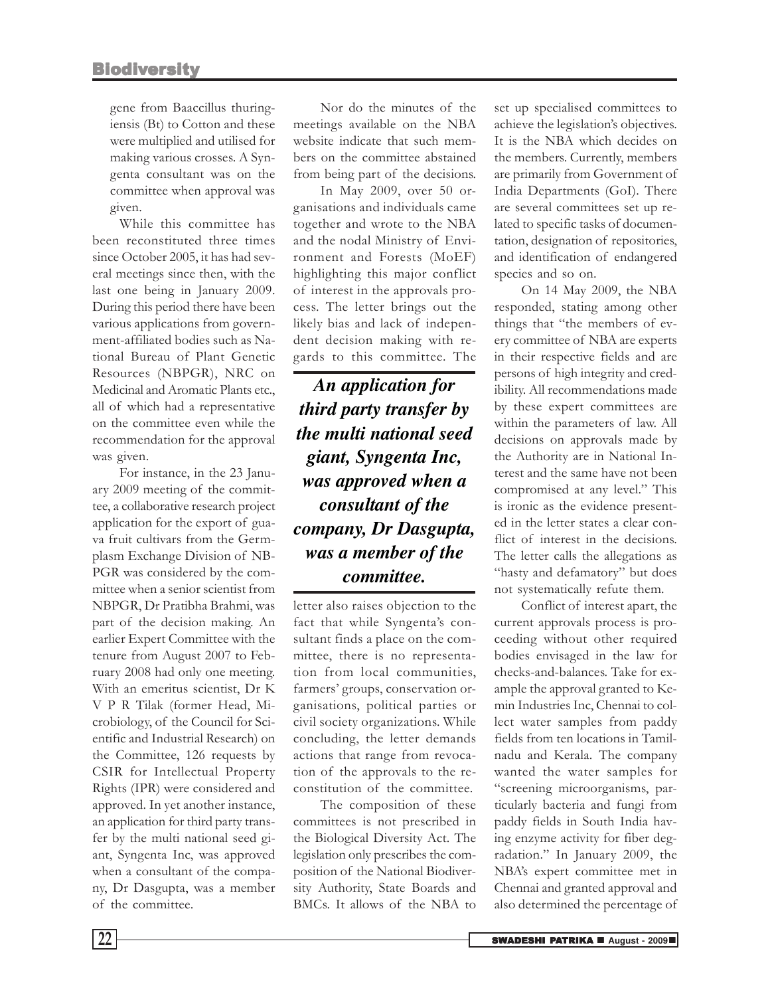gene from Baaccillus thuringiensis (Bt) to Cotton and these were multiplied and utilised for making various crosses. A Syngenta consultant was on the committee when approval was given.

While this committee has been reconstituted three times since October 2005, it has had several meetings since then, with the last one being in January 2009. During this period there have been various applications from government-affiliated bodies such as National Bureau of Plant Genetic Resources (NBPGR), NRC on Medicinal and Aromatic Plants etc., all of which had a representative on the committee even while the recommendation for the approval was given.

For instance, in the 23 January 2009 meeting of the committee, a collaborative research project application for the export of guava fruit cultivars from the Germplasm Exchange Division of NB-PGR was considered by the committee when a senior scientist from NBPGR, Dr Pratibha Brahmi, was part of the decision making. An earlier Expert Committee with the tenure from August 2007 to February 2008 had only one meeting. With an emeritus scientist, Dr K V P R Tilak (former Head, Microbiology, of the Council for Scientific and Industrial Research) on the Committee, 126 requests by CSIR for Intellectual Property Rights (IPR) were considered and approved. In yet another instance, an application for third party transfer by the multi national seed giant, Syngenta Inc, was approved when a consultant of the company, Dr Dasgupta, was a member of the committee.

Nor do the minutes of the meetings available on the NBA website indicate that such members on the committee abstained from being part of the decisions.

In May 2009, over 50 organisations and individuals came together and wrote to the NBA and the nodal Ministry of Environment and Forests (MoEF) highlighting this major conflict of interest in the approvals process. The letter brings out the likely bias and lack of independent decision making with regards to this committee. The

*An application for third party transfer by the multi national seed giant, Syngenta Inc, was approved when a consultant of the company, Dr Dasgupta, was a member of the committee.*

letter also raises objection to the fact that while Syngenta's consultant finds a place on the committee, there is no representation from local communities, farmers' groups, conservation organisations, political parties or civil society organizations. While concluding, the letter demands actions that range from revocation of the approvals to the reconstitution of the committee.

The composition of these committees is not prescribed in the Biological Diversity Act. The legislation only prescribes the composition of the National Biodiversity Authority, State Boards and BMCs. It allows of the NBA to

set up specialised committees to achieve the legislation's objectives. It is the NBA which decides on the members. Currently, members are primarily from Government of India Departments (GoI). There are several committees set up related to specific tasks of documentation, designation of repositories, and identification of endangered species and so on.

On 14 May 2009, the NBA responded, stating among other things that "the members of every committee of NBA are experts in their respective fields and are persons of high integrity and credibility. All recommendations made by these expert committees are within the parameters of law. All decisions on approvals made by the Authority are in National Interest and the same have not been compromised at any level." This is ironic as the evidence presented in the letter states a clear conflict of interest in the decisions. The letter calls the allegations as "hasty and defamatory" but does not systematically refute them.

Conflict of interest apart, the current approvals process is proceeding without other required bodies envisaged in the law for checks-and-balances. Take for example the approval granted to Kemin Industries Inc, Chennai to collect water samples from paddy fields from ten locations in Tamilnadu and Kerala. The company wanted the water samples for "screening microorganisms, particularly bacteria and fungi from paddy fields in South India having enzyme activity for fiber degradation." In January 2009, the NBA's expert committee met in Chennai and granted approval and also determined the percentage of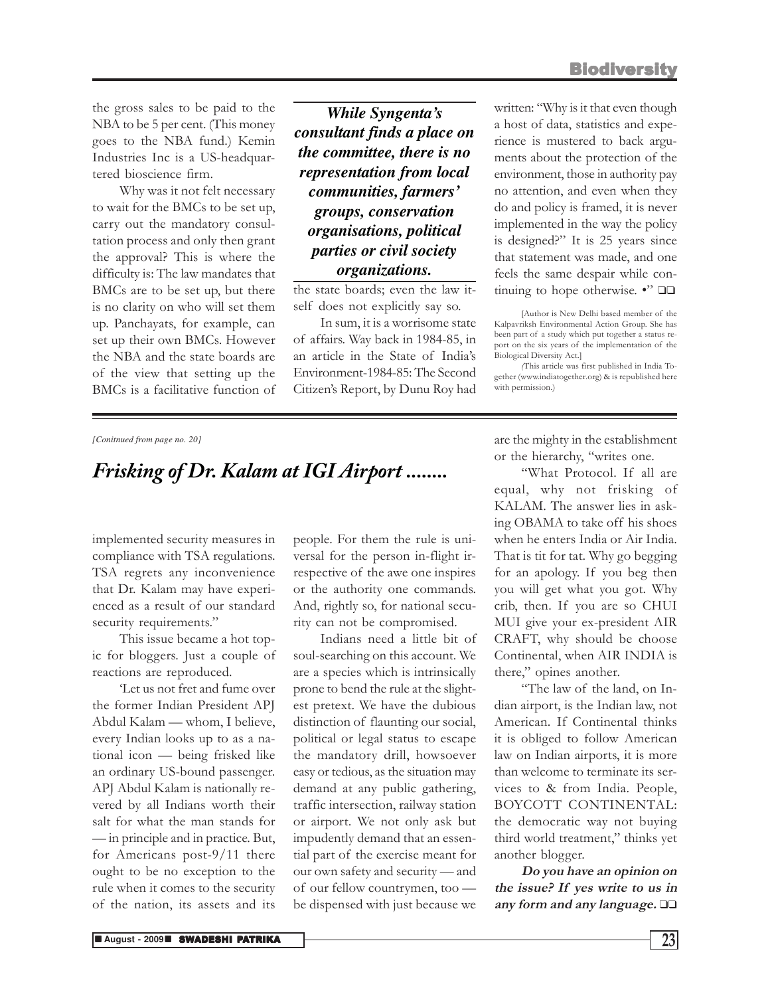the gross sales to be paid to the NBA to be 5 per cent. (This money goes to the NBA fund.) Kemin Industries Inc is a US-headquartered bioscience firm.

Why was it not felt necessary to wait for the BMCs to be set up, carry out the mandatory consultation process and only then grant the approval? This is where the difficulty is: The law mandates that BMCs are to be set up, but there is no clarity on who will set them up. Panchayats, for example, can set up their own BMCs. However the NBA and the state boards are of the view that setting up the BMCs is a facilitative function of

*While Syngenta's consultant finds a place on the committee, there is no representation from local communities, farmers' groups, conservation organisations, political parties or civil society organizations.*

the state boards; even the law itself does not explicitly say so.

In sum, it is a worrisome state of affairs. Way back in 1984-85, in an article in the State of India's Environment-1984-85: The Second Citizen's Report, by Dunu Roy had

written: "Why is it that even though a host of data, statistics and experience is mustered to back arguments about the protection of the environment, those in authority pay no attention, and even when they do and policy is framed, it is never implemented in the way the policy is designed?" It is 25 years since that statement was made, and one feels the same despair while continuing to hope otherwise. •" ❑❑

[Author is New Delhi based member of the Kalpavriksh Environmental Action Group. She has been part of a study which put together a status report on the six years of the implementation of the Biological Diversity Act.]

(This article was first published in India Together (www.indiatogether.org) & is republished here with permission.)

#### *[Conitnued from page no. 20]*

### *Frisking of Dr. Kalam at IGI Airport ........*

implemented security measures in compliance with TSA regulations. TSA regrets any inconvenience that Dr. Kalam may have experienced as a result of our standard security requirements."

This issue became a hot topic for bloggers. Just a couple of reactions are reproduced.

'Let us not fret and fume over the former Indian President APJ Abdul Kalam — whom, I believe, every Indian looks up to as a national icon — being frisked like an ordinary US-bound passenger. APJ Abdul Kalam is nationally revered by all Indians worth their salt for what the man stands for — in principle and in practice. But, for Americans post-9/11 there ought to be no exception to the rule when it comes to the security of the nation, its assets and its

people. For them the rule is universal for the person in-flight irrespective of the awe one inspires or the authority one commands. And, rightly so, for national security can not be compromised.

Indians need a little bit of soul-searching on this account. We are a species which is intrinsically prone to bend the rule at the slightest pretext. We have the dubious distinction of flaunting our social, political or legal status to escape the mandatory drill, howsoever easy or tedious, as the situation may demand at any public gathering, traffic intersection, railway station or airport. We not only ask but impudently demand that an essential part of the exercise meant for our own safety and security — and of our fellow countrymen, too be dispensed with just because we

are the mighty in the establishment or the hierarchy, "writes one.

"What Protocol. If all are equal, why not frisking of KALAM. The answer lies in asking OBAMA to take off his shoes when he enters India or Air India. That is tit for tat. Why go begging for an apology. If you beg then you will get what you got. Why crib, then. If you are so CHUI MUI give your ex-president AIR CRAFT, why should be choose Continental, when AIR INDIA is there," opines another.

"The law of the land, on Indian airport, is the Indian law, not American. If Continental thinks it is obliged to follow American law on Indian airports, it is more than welcome to terminate its services to & from India. People, BOYCOTT CONTINENTAL: the democratic way not buying third world treatment," thinks yet another blogger.

Do you have an opinion on the issue? If yes write to us in any form and any language. ❑❑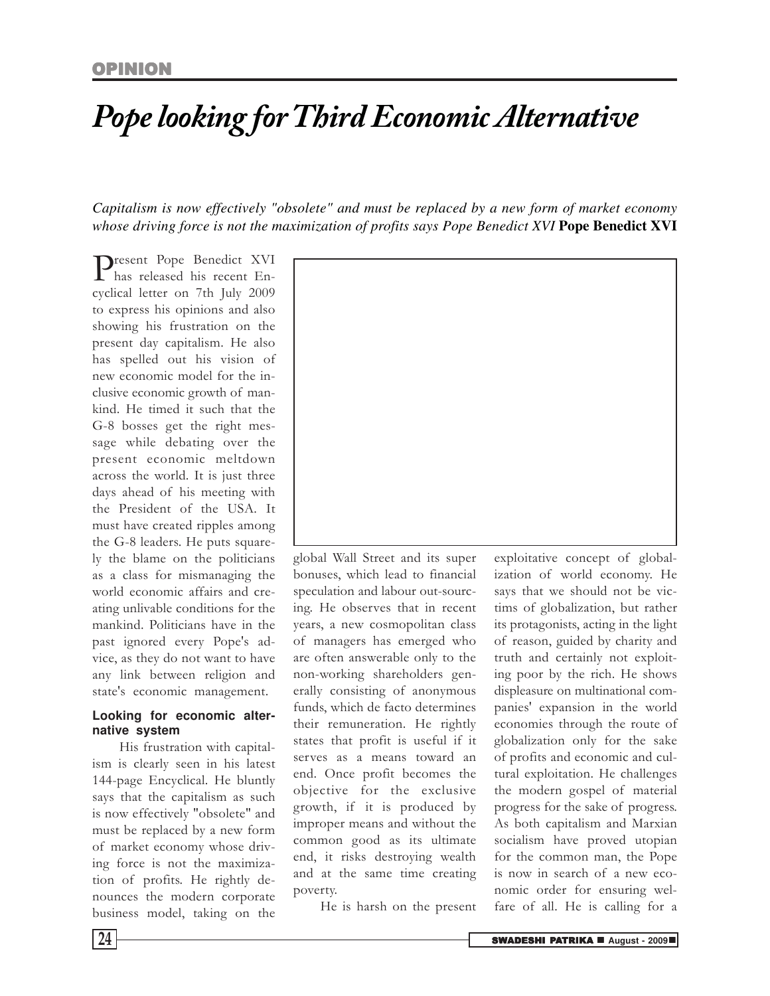### *Pope looking for Third Economic Alternative*

*Capitalism is now effectively "obsolete" and must be replaced by a new form of market economy whose driving force is not the maximization of profits says Pope Benedict XVI* **Pope Benedict XVI**

Present Pope Benedict XVI<br>has released his recent Enhas released his recent Encyclical letter on 7th July 2009 to express his opinions and also showing his frustration on the present day capitalism. He also has spelled out his vision of new economic model for the inclusive economic growth of mankind. He timed it such that the G-8 bosses get the right message while debating over the present economic meltdown across the world. It is just three days ahead of his meeting with the President of the USA. It must have created ripples among the G-8 leaders. He puts squarely the blame on the politicians as a class for mismanaging the world economic affairs and creating unlivable conditions for the mankind. Politicians have in the past ignored every Pope's advice, as they do not want to have any link between religion and state's economic management.

### **Looking for economic alternative system**

His frustration with capitalism is clearly seen in his latest 144-page Encyclical. He bluntly says that the capitalism as such is now effectively "obsolete" and must be replaced by a new form of market economy whose driving force is not the maximization of profits. He rightly denounces the modern corporate business model, taking on the



global Wall Street and its super bonuses, which lead to financial speculation and labour out-sourcing. He observes that in recent years, a new cosmopolitan class of managers has emerged who are often answerable only to the non-working shareholders generally consisting of anonymous funds, which de facto determines their remuneration. He rightly states that profit is useful if it serves as a means toward an end. Once profit becomes the objective for the exclusive growth, if it is produced by improper means and without the common good as its ultimate end, it risks destroying wealth and at the same time creating poverty.

He is harsh on the present

exploitative concept of globalization of world economy. He says that we should not be victims of globalization, but rather its protagonists, acting in the light of reason, guided by charity and truth and certainly not exploiting poor by the rich. He shows displeasure on multinational companies' expansion in the world economies through the route of globalization only for the sake of profits and economic and cultural exploitation. He challenges the modern gospel of material progress for the sake of progress. As both capitalism and Marxian socialism have proved utopian for the common man, the Pope is now in search of a new economic order for ensuring welfare of all. He is calling for a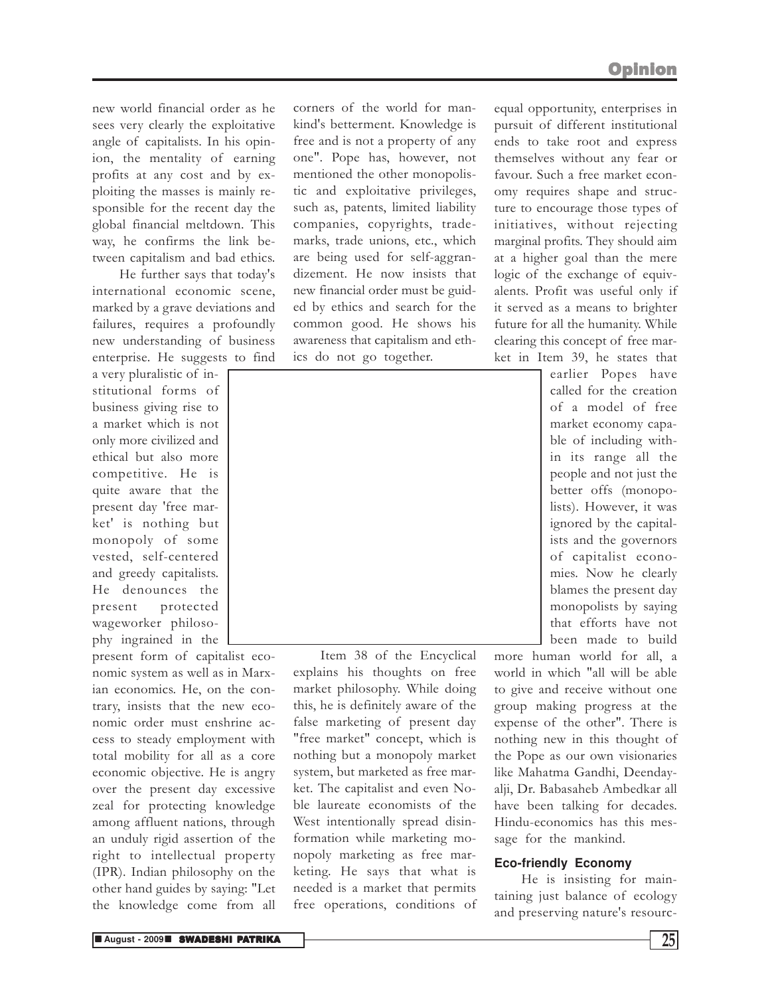new world financial order as he sees very clearly the exploitative angle of capitalists. In his opinion, the mentality of earning profits at any cost and by exploiting the masses is mainly responsible for the recent day the global financial meltdown. This way, he confirms the link between capitalism and bad ethics.

He further says that today's international economic scene, marked by a grave deviations and failures, requires a profoundly new understanding of business enterprise. He suggests to find

a very pluralistic of institutional forms of business giving rise to a market which is not only more civilized and ethical but also more competitive. He is quite aware that the present day 'free market' is nothing but monopoly of some vested, self-centered and greedy capitalists. He denounces the present protected wageworker philosophy ingrained in the

present form of capitalist economic system as well as in Marxian economics. He, on the contrary, insists that the new economic order must enshrine access to steady employment with total mobility for all as a core economic objective. He is angry over the present day excessive zeal for protecting knowledge among affluent nations, through an unduly rigid assertion of the right to intellectual property (IPR). Indian philosophy on the other hand guides by saying: "Let the knowledge come from all

corners of the world for mankind's betterment. Knowledge is free and is not a property of any one". Pope has, however, not mentioned the other monopolistic and exploitative privileges, such as, patents, limited liability companies, copyrights, trademarks, trade unions, etc., which are being used for self-aggrandizement. He now insists that new financial order must be guided by ethics and search for the common good. He shows his awareness that capitalism and ethics do not go together.

equal opportunity, enterprises in pursuit of different institutional ends to take root and express themselves without any fear or favour. Such a free market economy requires shape and structure to encourage those types of initiatives, without rejecting marginal profits. They should aim at a higher goal than the mere logic of the exchange of equivalents. Profit was useful only if it served as a means to brighter future for all the humanity. While clearing this concept of free mar-

ket in Item 39, he states that

Item 38 of the Encyclical explains his thoughts on free market philosophy. While doing this, he is definitely aware of the false marketing of present day "free market" concept, which is nothing but a monopoly market system, but marketed as free market. The capitalist and even Noble laureate economists of the West intentionally spread disinformation while marketing monopoly marketing as free marketing. He says that what is needed is a market that permits free operations, conditions of

earlier Popes have called for the creation of a model of free market economy capable of including within its range all the people and not just the better offs (monopolists). However, it was ignored by the capitalists and the governors of capitalist economies. Now he clearly blames the present day monopolists by saying that efforts have not been made to build

more human world for all, a world in which "all will be able to give and receive without one group making progress at the expense of the other". There is nothing new in this thought of the Pope as our own visionaries like Mahatma Gandhi, Deendayalji, Dr. Babasaheb Ambedkar all have been talking for decades. Hindu-economics has this message for the mankind.

### **Eco-friendly Economy**

He is insisting for maintaining just balance of ecology and preserving nature's resourc-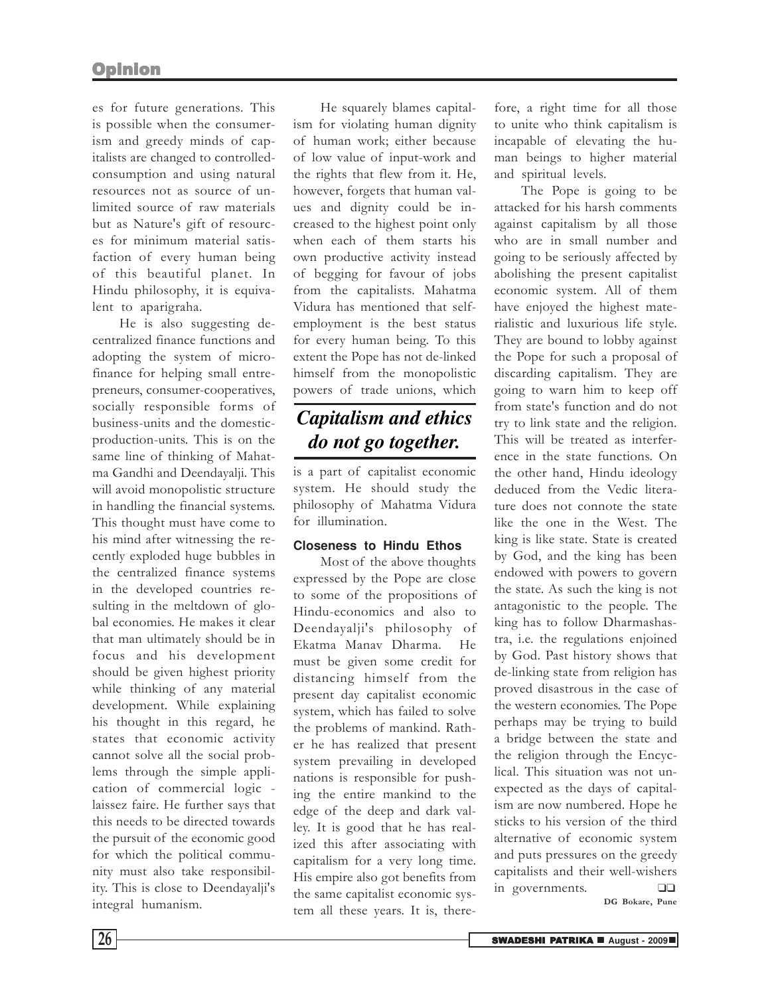es for future generations. This is possible when the consumerism and greedy minds of capitalists are changed to controlledconsumption and using natural resources not as source of unlimited source of raw materials but as Nature's gift of resources for minimum material satisfaction of every human being of this beautiful planet. In Hindu philosophy, it is equivalent to aparigraha.

He is also suggesting decentralized finance functions and adopting the system of microfinance for helping small entrepreneurs, consumer-cooperatives, socially responsible forms of business-units and the domesticproduction-units. This is on the same line of thinking of Mahatma Gandhi and Deendayalji. This will avoid monopolistic structure in handling the financial systems. This thought must have come to his mind after witnessing the recently exploded huge bubbles in the centralized finance systems in the developed countries resulting in the meltdown of global economies. He makes it clear that man ultimately should be in focus and his development should be given highest priority while thinking of any material development. While explaining his thought in this regard, he states that economic activity cannot solve all the social problems through the simple application of commercial logic laissez faire. He further says that this needs to be directed towards the pursuit of the economic good for which the political community must also take responsibility. This is close to Deendayalji's integral humanism.

He squarely blames capitalism for violating human dignity of human work; either because of low value of input-work and the rights that flew from it. He, however, forgets that human values and dignity could be increased to the highest point only when each of them starts his own productive activity instead of begging for favour of jobs from the capitalists. Mahatma Vidura has mentioned that selfemployment is the best status for every human being. To this extent the Pope has not de-linked himself from the monopolistic powers of trade unions, which

### *Capitalism and ethics do not go together.*

is a part of capitalist economic system. He should study the philosophy of Mahatma Vidura for illumination.

### **Closeness to Hindu Ethos**

Most of the above thoughts expressed by the Pope are close to some of the propositions of Hindu-economics and also to Deendayalji's philosophy of Ekatma Manav Dharma. He must be given some credit for distancing himself from the present day capitalist economic system, which has failed to solve the problems of mankind. Rather he has realized that present system prevailing in developed nations is responsible for pushing the entire mankind to the edge of the deep and dark valley. It is good that he has realized this after associating with capitalism for a very long time. His empire also got benefits from the same capitalist economic system all these years. It is, there-

fore, a right time for all those to unite who think capitalism is incapable of elevating the human beings to higher material and spiritual levels.

The Pope is going to be attacked for his harsh comments against capitalism by all those who are in small number and going to be seriously affected by abolishing the present capitalist economic system. All of them have enjoyed the highest materialistic and luxurious life style. They are bound to lobby against the Pope for such a proposal of discarding capitalism. They are going to warn him to keep off from state's function and do not try to link state and the religion. This will be treated as interference in the state functions. On the other hand, Hindu ideology deduced from the Vedic literature does not connote the state like the one in the West. The king is like state. State is created by God, and the king has been endowed with powers to govern the state. As such the king is not antagonistic to the people. The king has to follow Dharmashastra, i.e. the regulations enjoined by God. Past history shows that de-linking state from religion has proved disastrous in the case of the western economies. The Pope perhaps may be trying to build a bridge between the state and the religion through the Encyclical. This situation was not unexpected as the days of capitalism are now numbered. Hope he sticks to his version of the third alternative of economic system and puts pressures on the greedy capitalists and their well-wishers in governments. ❑❑ DG Bokare, Pune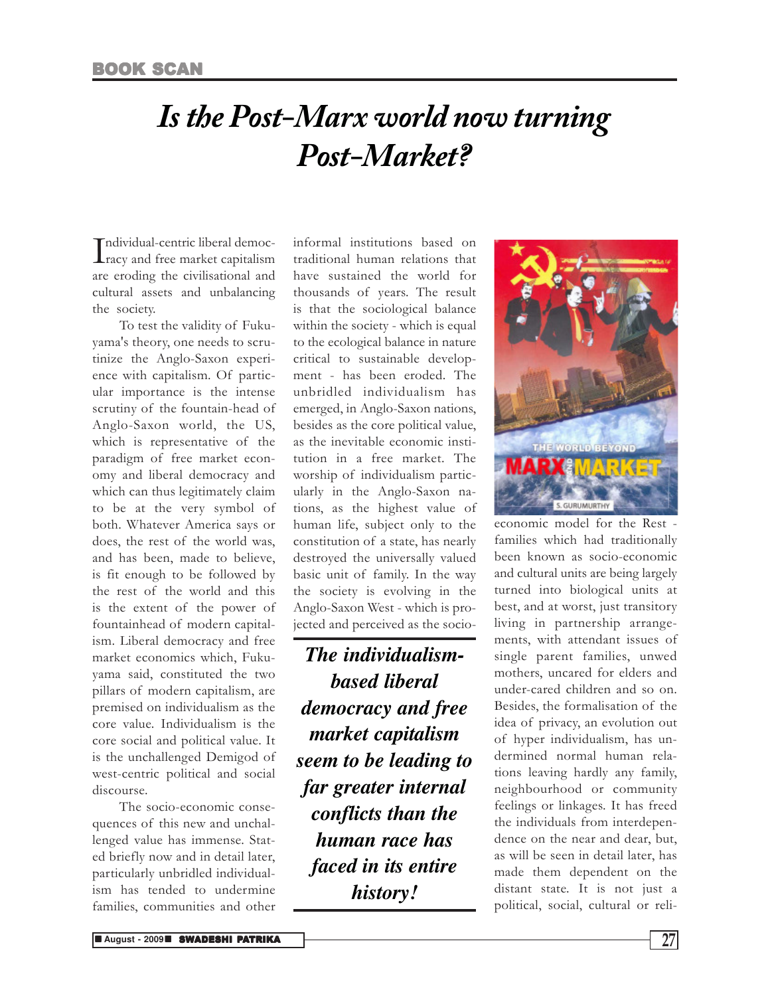### *Is the Post-Marx world now turning Post-Market?*

Individual-centric liberal democ-<br>
racy and free market capitalism ndividual-centric liberal democare eroding the civilisational and cultural assets and unbalancing the society.

To test the validity of Fukuyama's theory, one needs to scrutinize the Anglo-Saxon experience with capitalism. Of particular importance is the intense scrutiny of the fountain-head of Anglo-Saxon world, the US, which is representative of the paradigm of free market economy and liberal democracy and which can thus legitimately claim to be at the very symbol of both. Whatever America says or does, the rest of the world was, and has been, made to believe, is fit enough to be followed by the rest of the world and this is the extent of the power of fountainhead of modern capitalism. Liberal democracy and free market economics which, Fukuyama said, constituted the two pillars of modern capitalism, are premised on individualism as the core value. Individualism is the core social and political value. It is the unchallenged Demigod of west-centric political and social discourse.

The socio-economic consequences of this new and unchallenged value has immense. Stated briefly now and in detail later, particularly unbridled individualism has tended to undermine families, communities and other informal institutions based on traditional human relations that have sustained the world for thousands of years. The result is that the sociological balance within the society - which is equal to the ecological balance in nature critical to sustainable development - has been eroded. The unbridled individualism has emerged, in Anglo-Saxon nations, besides as the core political value, as the inevitable economic institution in a free market. The worship of individualism particularly in the Anglo-Saxon nations, as the highest value of human life, subject only to the constitution of a state, has nearly destroyed the universally valued basic unit of family. In the way the society is evolving in the Anglo-Saxon West - which is projected and perceived as the socio-

*The individualismbased liberal democracy and free market capitalism seem to be leading to far greater internal conflicts than the human race has faced in its entire history!*



economic model for the Rest families which had traditionally been known as socio-economic and cultural units are being largely turned into biological units at best, and at worst, just transitory living in partnership arrangements, with attendant issues of single parent families, unwed mothers, uncared for elders and under-cared children and so on. Besides, the formalisation of the idea of privacy, an evolution out of hyper individualism, has undermined normal human relations leaving hardly any family, neighbourhood or community feelings or linkages. It has freed the individuals from interdependence on the near and dear, but, as will be seen in detail later, has made them dependent on the distant state. It is not just a political, social, cultural or reli-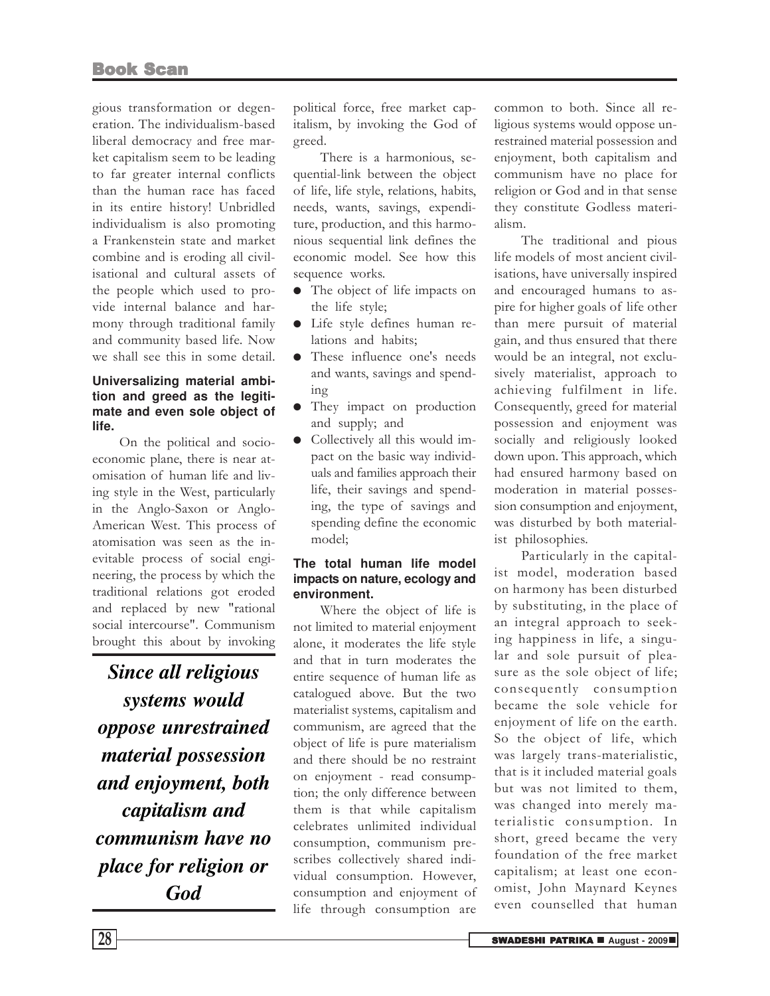gious transformation or degeneration. The individualism-based liberal democracy and free market capitalism seem to be leading to far greater internal conflicts than the human race has faced in its entire history! Unbridled individualism is also promoting a Frankenstein state and market combine and is eroding all civilisational and cultural assets of the people which used to provide internal balance and harmony through traditional family and community based life. Now we shall see this in some detail.

### **Universalizing material ambition and greed as the legitimate and even sole object of life.**

On the political and socioeconomic plane, there is near atomisation of human life and living style in the West, particularly in the Anglo-Saxon or Anglo-American West. This process of atomisation was seen as the inevitable process of social engineering, the process by which the traditional relations got eroded and replaced by new "rational social intercourse". Communism brought this about by invoking

*Since all religious systems would oppose unrestrained material possession and enjoyment, both capitalism and communism have no place for religion or God*

political force, free market capitalism, by invoking the God of greed.

There is a harmonious, sequential-link between the object of life, life style, relations, habits, needs, wants, savings, expenditure, production, and this harmonious sequential link defines the economic model. See how this sequence works.

- The object of life impacts on the life style;
- Life style defines human relations and habits;
- These influence one's needs and wants, savings and spending
- They impact on production and supply; and
- Collectively all this would impact on the basic way individuals and families approach their life, their savings and spending, the type of savings and spending define the economic model;

### **The total human life model impacts on nature, ecology and environment.**

Where the object of life is not limited to material enjoyment alone, it moderates the life style and that in turn moderates the entire sequence of human life as catalogued above. But the two materialist systems, capitalism and communism, are agreed that the object of life is pure materialism and there should be no restraint on enjoyment - read consumption; the only difference between them is that while capitalism celebrates unlimited individual consumption, communism prescribes collectively shared individual consumption. However, consumption and enjoyment of life through consumption are common to both. Since all religious systems would oppose unrestrained material possession and enjoyment, both capitalism and communism have no place for religion or God and in that sense they constitute Godless materialism.

The traditional and pious life models of most ancient civilisations, have universally inspired and encouraged humans to aspire for higher goals of life other than mere pursuit of material gain, and thus ensured that there would be an integral, not exclusively materialist, approach to achieving fulfilment in life. Consequently, greed for material possession and enjoyment was socially and religiously looked down upon. This approach, which had ensured harmony based on moderation in material possession consumption and enjoyment, was disturbed by both materialist philosophies.

Particularly in the capitalist model, moderation based on harmony has been disturbed by substituting, in the place of an integral approach to seeking happiness in life, a singular and sole pursuit of pleasure as the sole object of life; consequently consumption became the sole vehicle for enjoyment of life on the earth. So the object of life, which was largely trans-materialistic, that is it included material goals but was not limited to them, was changed into merely materialistic consumption. In short, greed became the very foundation of the free market capitalism; at least one economist, John Maynard Keynes even counselled that human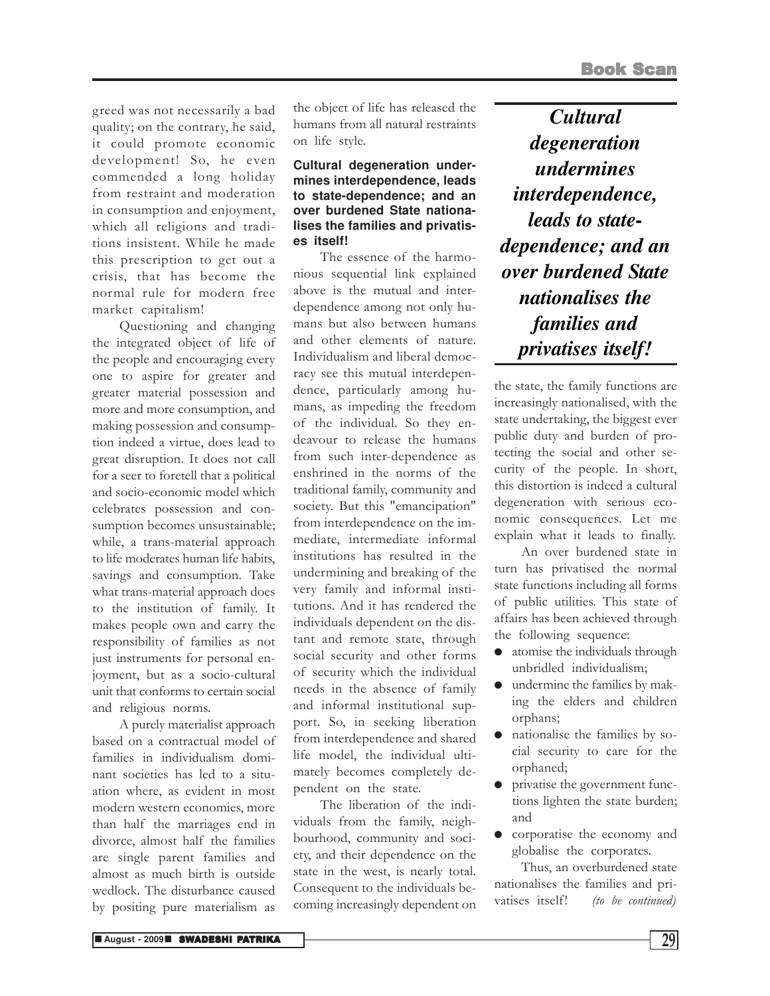greed was not necessarily a bad quality; on the contrary, he said, it could promote economic development! So, he even commended a long holiday from restraint and moderation in consumption and enjoyment, which all religions and traditions insistent. While he made this prescription to get out a crisis, that has become the normal rule for modern free market capitalism!

Questioning and changing the integrated object of life of the people and encouraging every one to aspire for greater and greater material possession and more and more consumption, and making possession and consumption indeed a virtue, does lead to great disruption. It does not call for a seer to foretell that a political and socio-economic model which celebrates possession and consumption becomes unsustainable; while, a trans-material approach to life moderates human life habits, savings and consumption. Take what trans-material approach does to the institution of family. It makes people own and carry the responsibility of families as not just instruments for personal enjoyment, but as a socio-cultural unit that conforms to certain social and religious norms.

A purely materialist approach based on a contractual model of families in individualism dominant societies has led to a situation where, as evident in most modern western economies, more than half the marriages end in divorce, almost half the families are single parent families and almost as much birth is outside wedlock. The disturbance caused by positing pure materialism as

the object of life has released the humans from all natural restraints on life style.

### **Cultural degeneration undermines interdependence, leads to state-dependence; and an over burdened State nationalises the families and privatises itself!**

The essence of the harmonious sequential link explained above is the mutual and interdependence among not only humans but also between humans and other elements of nature. Individualism and liberal democracy see this mutual interdependence, particularly among humans, as impeding the freedom of the individual. So they endeavour to release the humans from such inter-dependence as enshrined in the norms of the traditional family, community and society. But this "emancipation" from interdependence on the immediate, intermediate informal institutions has resulted in the undermining and breaking of the very family and informal institutions. And it has rendered the individuals dependent on the distant and remote state, through social security and other forms of security which the individual needs in the absence of family and informal institutional support. So, in seeking liberation from interdependence and shared life model, the individual ultimately becomes completely dependent on the state.

The liberation of the individuals from the family, neighbourhood, community and society, and their dependence on the state in the west, is nearly total. Consequent to the individuals becoming increasingly dependent on

*Cultural degeneration undermines interdependence, leads to statedependence; and an over burdened State nationalises the families and privatises itself!*

the state, the family functions are increasingly nationalised, with the state undertaking, the biggest ever public duty and burden of protecting the social and other security of the people. In short, this distortion is indeed a cultural degeneration with serious economic consequences. Let me explain what it leads to finally.

An over burdened state in turn has privatised the normal state functions including all forms of public utilities. This state of affairs has been achieved through the following sequence:

- atomise the individuals through unbridled individualism;
- undermine the families by making the elders and children orphans;
- nationalise the families by social security to care for the orphaned;
- privatise the government functions lighten the state burden; and
- corporatise the economy and globalise the corporates.

Thus, an overburdened state nationalises the families and privatises itself! (to be continued)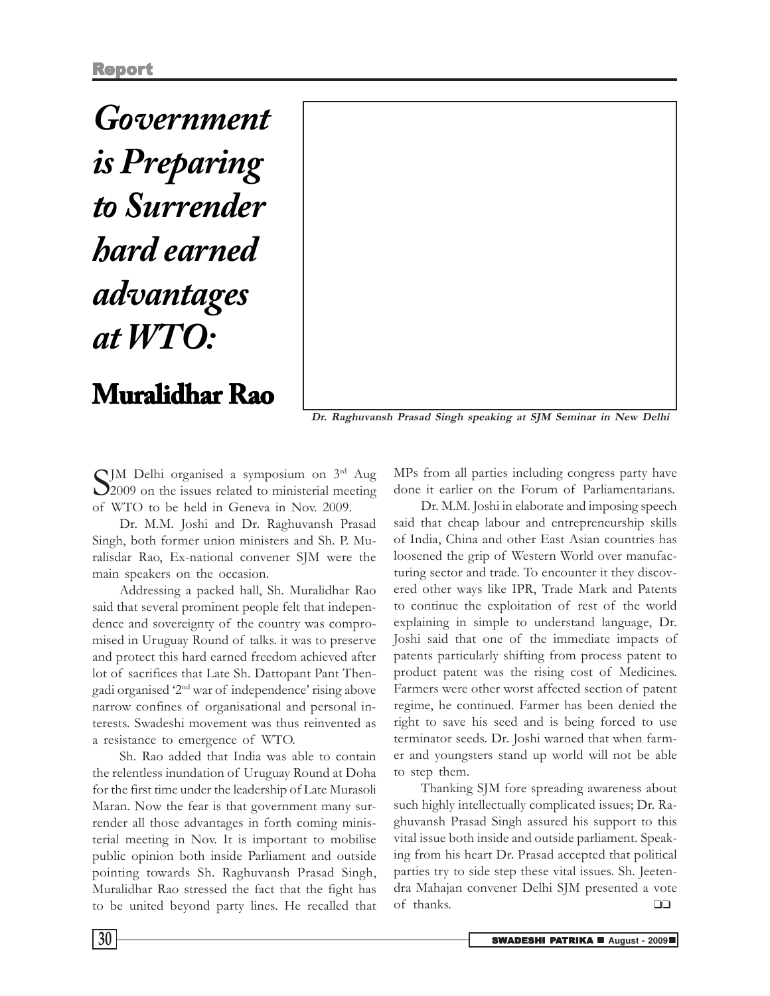*Government is Preparing to Surrender hard earned advantages at WTO:*

**Muralidhar Rao**

Dr. Raghuvansh Prasad Singh speaking at SJM Seminar in New Delhi

 $\sum_{2009}$  on the issues related to ministerial meeting 2009 on the issues related to ministerial meeting of WTO to be held in Geneva in Nov. 2009.

Dr. M.M. Joshi and Dr. Raghuvansh Prasad Singh, both former union ministers and Sh. P. Muralisdar Rao, Ex-national convener SJM were the main speakers on the occasion.

Addressing a packed hall, Sh. Muralidhar Rao said that several prominent people felt that independence and sovereignty of the country was compromised in Uruguay Round of talks. it was to preserve and protect this hard earned freedom achieved after lot of sacrifices that Late Sh. Dattopant Pant Thengadi organised '2nd war of independence' rising above narrow confines of organisational and personal interests. Swadeshi movement was thus reinvented as a resistance to emergence of WTO.

Sh. Rao added that India was able to contain the relentless inundation of Uruguay Round at Doha for the first time under the leadership of Late Murasoli Maran. Now the fear is that government many surrender all those advantages in forth coming ministerial meeting in Nov. It is important to mobilise public opinion both inside Parliament and outside pointing towards Sh. Raghuvansh Prasad Singh, Muralidhar Rao stressed the fact that the fight has to be united beyond party lines. He recalled that MPs from all parties including congress party have done it earlier on the Forum of Parliamentarians.

Dr. M.M. Joshi in elaborate and imposing speech said that cheap labour and entrepreneurship skills of India, China and other East Asian countries has loosened the grip of Western World over manufacturing sector and trade. To encounter it they discovered other ways like IPR, Trade Mark and Patents to continue the exploitation of rest of the world explaining in simple to understand language, Dr. Joshi said that one of the immediate impacts of patents particularly shifting from process patent to product patent was the rising cost of Medicines. Farmers were other worst affected section of patent regime, he continued. Farmer has been denied the right to save his seed and is being forced to use terminator seeds. Dr. Joshi warned that when farmer and youngsters stand up world will not be able to step them.

Thanking SJM fore spreading awareness about such highly intellectually complicated issues; Dr. Raghuvansh Prasad Singh assured his support to this vital issue both inside and outside parliament. Speaking from his heart Dr. Prasad accepted that political parties try to side step these vital issues. Sh. Jeetendra Mahajan convener Delhi SJM presented a vote of thanks. ❑❑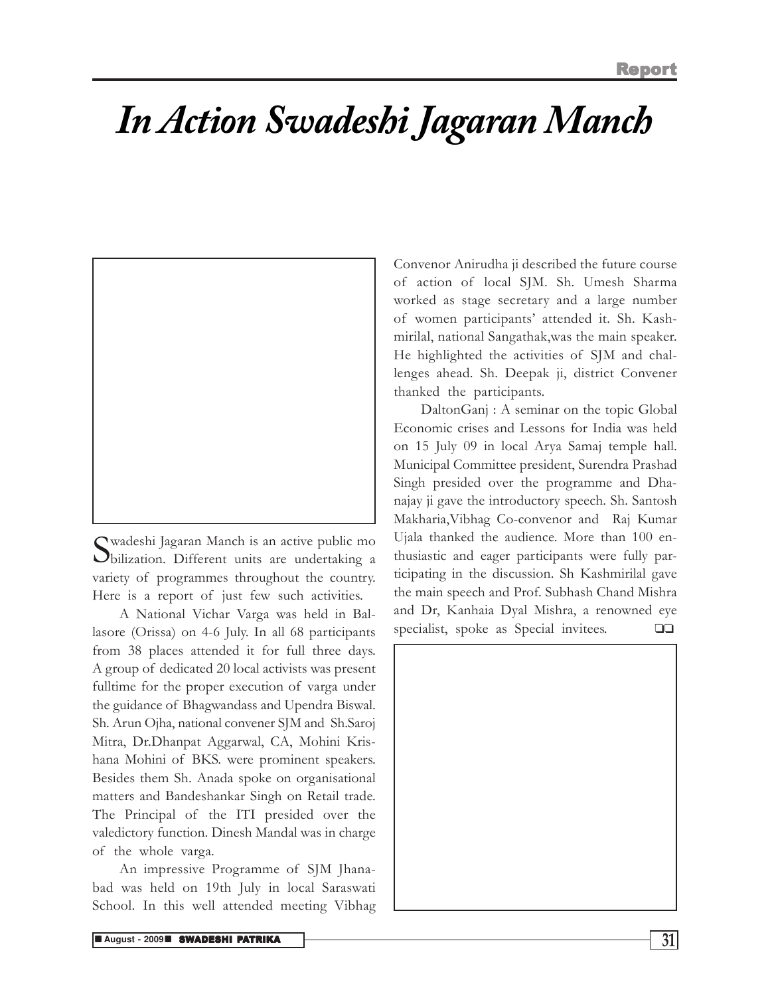## *In Action Swadeshi Jagaran Manch*



S bilization. Different units are undertaking a wadeshi Jagaran Manch is an active public mo variety of programmes throughout the country. Here is a report of just few such activities.

A National Vichar Varga was held in Ballasore (Orissa) on 4-6 July. In all 68 participants from 38 places attended it for full three days. A group of dedicated 20 local activists was present fulltime for the proper execution of varga under the guidance of Bhagwandass and Upendra Biswal. Sh. Arun Ojha, national convener SJM and Sh.Saroj Mitra, Dr.Dhanpat Aggarwal, CA, Mohini Krishana Mohini of BKS. were prominent speakers. Besides them Sh. Anada spoke on organisational matters and Bandeshankar Singh on Retail trade. The Principal of the ITI presided over the valedictory function. Dinesh Mandal was in charge of the whole varga.

An impressive Programme of SJM Jhanabad was held on 19th July in local Saraswati School. In this well attended meeting Vibhag Convenor Anirudha ji described the future course of action of local SJM. Sh. Umesh Sharma worked as stage secretary and a large number of women participants' attended it. Sh. Kashmirilal, national Sangathak,was the main speaker. He highlighted the activities of SJM and challenges ahead. Sh. Deepak ji, district Convener thanked the participants.

DaltonGanj : A seminar on the topic Global Economic crises and Lessons for India was held on 15 July 09 in local Arya Samaj temple hall. Municipal Committee president, Surendra Prashad Singh presided over the programme and Dhanajay ji gave the introductory speech. Sh. Santosh Makharia,Vibhag Co-convenor and Raj Kumar Ujala thanked the audience. More than 100 enthusiastic and eager participants were fully participating in the discussion. Sh Kashmirilal gave the main speech and Prof. Subhash Chand Mishra and Dr, Kanhaia Dyal Mishra, a renowned eye specialist, spoke as Special invitees. ❑❑

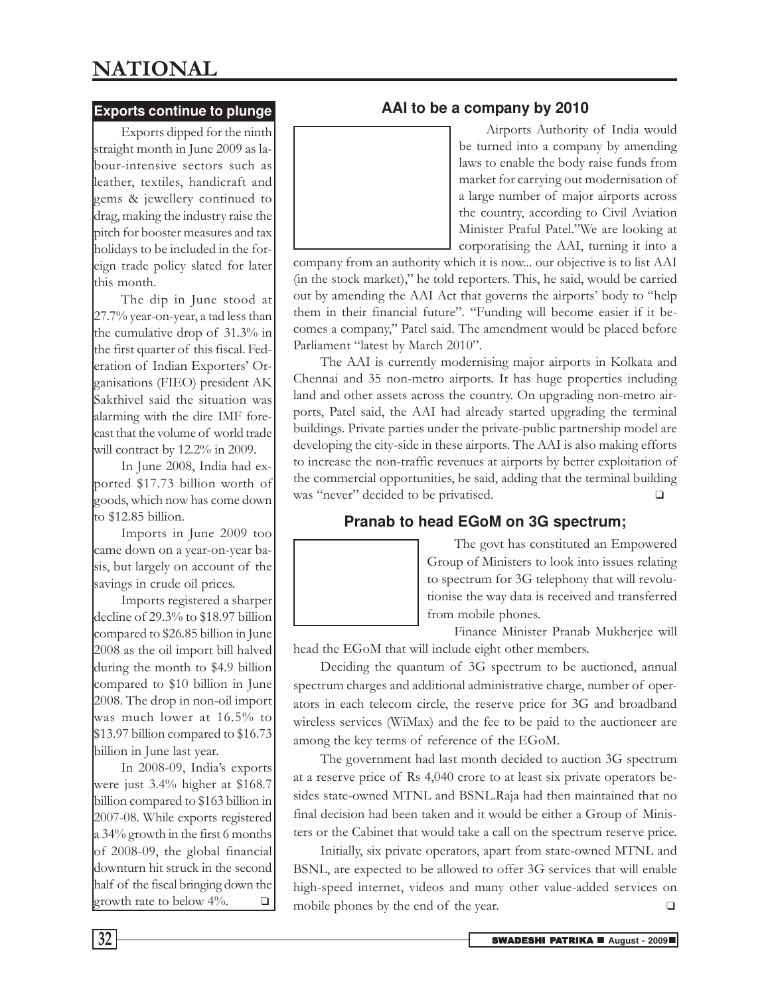### NATIONAL

### **Exports continue to plunge**

Exports dipped for the ninth straight month in June 2009 as labour-intensive sectors such as leather, textiles, handicraft and gems & jewellery continued to drag, making the industry raise the pitch for booster measures and tax holidays to be included in the foreign trade policy slated for later this month.

The dip in June stood at 27.7% year-on-year, a tad less than the cumulative drop of 31.3% in the first quarter of this fiscal. Federation of Indian Exporters' Organisations (FIEO) president AK Sakthivel said the situation was alarming with the dire IMF forecast that the volume of world trade will contract by 12.2% in 2009.

In June 2008, India had exported \$17.73 billion worth of goods, which now has come down to \$12.85 billion.

Imports in June 2009 too came down on a year-on-year basis, but largely on account of the savings in crude oil prices.

Imports registered a sharper decline of 29.3% to \$18.97 billion compared to \$26.85 billion in June 2008 as the oil import bill halved during the month to \$4.9 billion compared to \$10 billion in June 2008. The drop in non-oil import was much lower at 16.5% to \$13.97 billion compared to \$16.73 billion in June last year.

In 2008-09, India's exports were just 3.4% higher at \$168.7 billion compared to \$163 billion in 2007-08. While exports registered a 34% growth in the first 6 months of 2008-09, the global financial downturn hit struck in the second half of the fiscal bringing down the growth rate to below  $4\%$ .  $\Box$ 



Airports Authority of India would be turned into a company by amending laws to enable the body raise funds from market for carrying out modernisation of a large number of major airports across the country, according to Civil Aviation Minister Praful Patel."We are looking at corporatising the AAI, turning it into a

company from an authority which it is now... our objective is to list AAI (in the stock market)," he told reporters. This, he said, would be carried out by amending the AAI Act that governs the airports' body to "help them in their financial future". "Funding will become easier if it becomes a company," Patel said. The amendment would be placed before Parliament "latest by March 2010".

The AAI is currently modernising major airports in Kolkata and Chennai and 35 non-metro airports. It has huge properties including land and other assets across the country. On upgrading non-metro airports, Patel said, the AAI had already started upgrading the terminal buildings. Private parties under the private-public partnership model are developing the city-side in these airports. The AAI is also making efforts to increase the non-traffic revenues at airports by better exploitation of the commercial opportunities, he said, adding that the terminal building was "never" decided to be privatised.

### **Pranab to head EGoM on 3G spectrum;**



The govt has constituted an Empowered Group of Ministers to look into issues relating to spectrum for 3G telephony that will revolutionise the way data is received and transferred from mobile phones.

Finance Minister Pranab Mukherjee will head the EGoM that will include eight other members.

Deciding the quantum of 3G spectrum to be auctioned, annual spectrum charges and additional administrative charge, number of operators in each telecom circle, the reserve price for 3G and broadband wireless services (WiMax) and the fee to be paid to the auctioneer are among the key terms of reference of the EGoM.

The government had last month decided to auction 3G spectrum at a reserve price of Rs 4,040 crore to at least six private operators besides state-owned MTNL and BSNL.Raja had then maintained that no final decision had been taken and it would be either a Group of Ministers or the Cabinet that would take a call on the spectrum reserve price.

Initially, six private operators, apart from state-owned MTNL and BSNL, are expected to be allowed to offer 3G services that will enable high-speed internet, videos and many other value-added services on mobile phones by the end of the year. ❑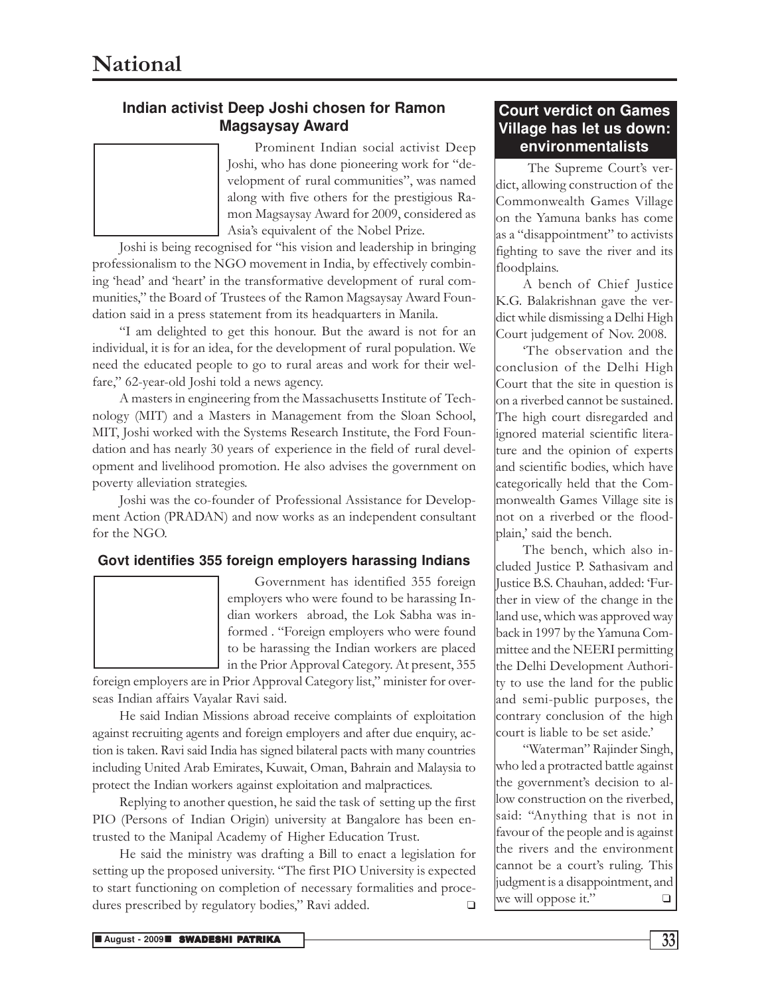### **Indian activist Deep Joshi chosen for Ramon Magsaysay Award**

Prominent Indian social activist Deep Joshi, who has done pioneering work for "development of rural communities", was named along with five others for the prestigious Ramon Magsaysay Award for 2009, considered as Asia's equivalent of the Nobel Prize.

Joshi is being recognised for "his vision and leadership in bringing professionalism to the NGO movement in India, by effectively combining 'head' and 'heart' in the transformative development of rural communities," the Board of Trustees of the Ramon Magsaysay Award Foundation said in a press statement from its headquarters in Manila.

"I am delighted to get this honour. But the award is not for an individual, it is for an idea, for the development of rural population. We need the educated people to go to rural areas and work for their welfare," 62-year-old Joshi told a news agency.

A masters in engineering from the Massachusetts Institute of Technology (MIT) and a Masters in Management from the Sloan School, MIT, Joshi worked with the Systems Research Institute, the Ford Foundation and has nearly 30 years of experience in the field of rural development and livelihood promotion. He also advises the government on poverty alleviation strategies.

Joshi was the co-founder of Professional Assistance for Development Action (PRADAN) and now works as an independent consultant for the NGO.

### **Govt identifies 355 foreign employers harassing Indians**



Government has identified 355 foreign employers who were found to be harassing Indian workers abroad, the Lok Sabha was informed . "Foreign employers who were found to be harassing the Indian workers are placed in the Prior Approval Category. At present, 355

foreign employers are in Prior Approval Category list," minister for overseas Indian affairs Vayalar Ravi said.

He said Indian Missions abroad receive complaints of exploitation against recruiting agents and foreign employers and after due enquiry, action is taken. Ravi said India has signed bilateral pacts with many countries including United Arab Emirates, Kuwait, Oman, Bahrain and Malaysia to protect the Indian workers against exploitation and malpractices.

Replying to another question, he said the task of setting up the first PIO (Persons of Indian Origin) university at Bangalore has been entrusted to the Manipal Academy of Higher Education Trust.

He said the ministry was drafting a Bill to enact a legislation for setting up the proposed university. "The first PIO University is expected to start functioning on completion of necessary formalities and procedures prescribed by regulatory bodies," Ravi added. ❑

### **Court verdict on Games Village has let us down: environmentalists**

 The Supreme Court's verdict, allowing construction of the Commonwealth Games Village on the Yamuna banks has come as a "disappointment" to activists fighting to save the river and its floodplains.

A bench of Chief Justice K.G. Balakrishnan gave the verdict while dismissing a Delhi High Court judgement of Nov. 2008.

'The observation and the conclusion of the Delhi High Court that the site in question is on a riverbed cannot be sustained. The high court disregarded and ignored material scientific literature and the opinion of experts and scientific bodies, which have categorically held that the Commonwealth Games Village site is not on a riverbed or the floodplain,' said the bench.

The bench, which also included Justice P. Sathasivam and Justice B.S. Chauhan, added: 'Further in view of the change in the land use, which was approved way back in 1997 by the Yamuna Committee and the NEERI permitting the Delhi Development Authority to use the land for the public and semi-public purposes, the contrary conclusion of the high court is liable to be set aside.'

"Waterman" Rajinder Singh, who led a protracted battle against the government's decision to allow construction on the riverbed, said: "Anything that is not in favour of the people and is against the rivers and the environment cannot be a court's ruling. This judgment is a disappointment, and we will oppose it." $\square$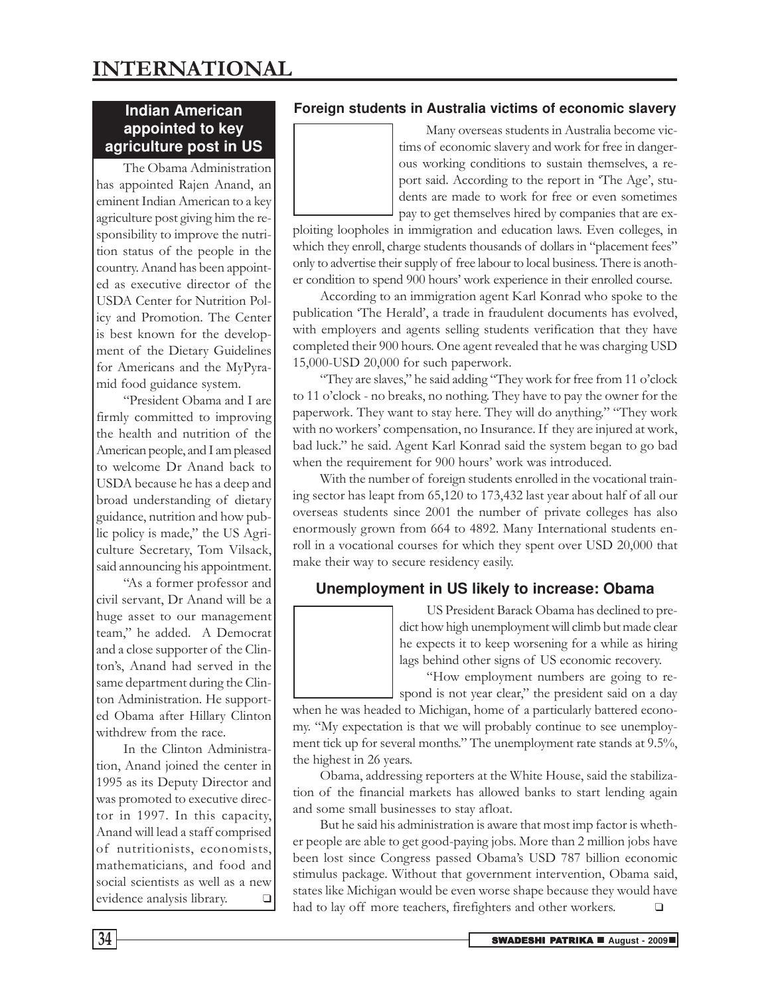### **Indian American appointed to key agriculture post in US**

The Obama Administration has appointed Rajen Anand, an eminent Indian American to a key agriculture post giving him the responsibility to improve the nutrition status of the people in the country. Anand has been appointed as executive director of the USDA Center for Nutrition Policy and Promotion. The Center is best known for the development of the Dietary Guidelines for Americans and the MyPyramid food guidance system.

"President Obama and I are firmly committed to improving the health and nutrition of the American people, and I am pleased to welcome Dr Anand back to USDA because he has a deep and broad understanding of dietary guidance, nutrition and how public policy is made," the US Agriculture Secretary, Tom Vilsack, said announcing his appointment.

"As a former professor and civil servant, Dr Anand will be a huge asset to our management team," he added. A Democrat and a close supporter of the Clinton's, Anand had served in the same department during the Clinton Administration. He supported Obama after Hillary Clinton withdrew from the race.

In the Clinton Administration, Anand joined the center in 1995 as its Deputy Director and was promoted to executive director in 1997. In this capacity, Anand will lead a staff comprised of nutritionists, economists, mathematicians, and food and social scientists as well as a new evidence analysis library. ❑

### **Foreign students in Australia victims of economic slavery**

Many overseas students in Australia become victims of economic slavery and work for free in dangerous working conditions to sustain themselves, a report said. According to the report in 'The Age', students are made to work for free or even sometimes pay to get themselves hired by companies that are ex-

ploiting loopholes in immigration and education laws. Even colleges, in which they enroll, charge students thousands of dollars in "placement fees" only to advertise their supply of free labour to local business. There is another condition to spend 900 hours' work experience in their enrolled course.

According to an immigration agent Karl Konrad who spoke to the publication 'The Herald', a trade in fraudulent documents has evolved, with employers and agents selling students verification that they have completed their 900 hours. One agent revealed that he was charging USD 15,000-USD 20,000 for such paperwork.

"They are slaves," he said adding "They work for free from 11 o'clock to 11 o'clock - no breaks, no nothing. They have to pay the owner for the paperwork. They want to stay here. They will do anything." "They work with no workers' compensation, no Insurance. If they are injured at work, bad luck." he said. Agent Karl Konrad said the system began to go bad when the requirement for 900 hours' work was introduced.

With the number of foreign students enrolled in the vocational training sector has leapt from 65,120 to 173,432 last year about half of all our overseas students since 2001 the number of private colleges has also enormously grown from 664 to 4892. Many International students enroll in a vocational courses for which they spent over USD 20,000 that make their way to secure residency easily.

### **Unemployment in US likely to increase: Obama**

US President Barack Obama has declined to predict how high unemployment will climb but made clear he expects it to keep worsening for a while as hiring lags behind other signs of US economic recovery.

"How employment numbers are going to respond is not year clear," the president said on a day

when he was headed to Michigan, home of a particularly battered economy. "My expectation is that we will probably continue to see unemployment tick up for several months." The unemployment rate stands at 9.5%, the highest in 26 years.

Obama, addressing reporters at the White House, said the stabilization of the financial markets has allowed banks to start lending again and some small businesses to stay afloat.

But he said his administration is aware that most imp factor is whether people are able to get good-paying jobs. More than 2 million jobs have been lost since Congress passed Obama's USD 787 billion economic stimulus package. Without that government intervention, Obama said, states like Michigan would be even worse shape because they would have had to lay off more teachers, firefighters and other workers.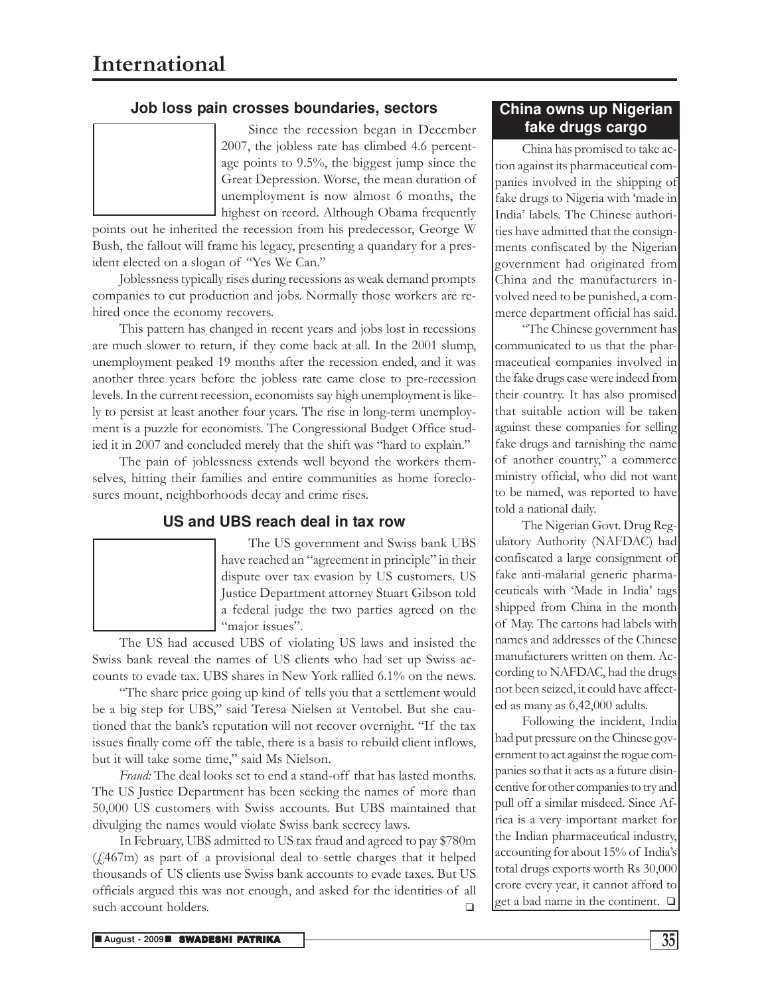### **Job loss pain crosses boundaries, sectors**

Since the recession began in December 2007, the jobless rate has climbed 4.6 percentage points to 9.5%, the biggest jump since the Great Depression. Worse, the mean duration of unemployment is now almost 6 months, the highest on record. Although Obama frequently

points out he inherited the recession from his predecessor, George W Bush, the fallout will frame his legacy, presenting a quandary for a president elected on a slogan of "Yes We Can."

Joblessness typically rises during recessions as weak demand prompts companies to cut production and jobs. Normally those workers are rehired once the economy recovers.

This pattern has changed in recent years and jobs lost in recessions are much slower to return, if they come back at all. In the 2001 slump, unemployment peaked 19 months after the recession ended, and it was another three years before the jobless rate came close to pre-recession levels. In the current recession, economists say high unemployment is likely to persist at least another four years. The rise in long-term unemployment is a puzzle for economists. The Congressional Budget Office studied it in 2007 and concluded merely that the shift was "hard to explain."

The pain of joblessness extends well beyond the workers themselves, hitting their families and entire communities as home foreclosures mount, neighborhoods decay and crime rises.

### **US and UBS reach deal in tax row**

The US government and Swiss bank UBS have reached an "agreement in principle" in their dispute over tax evasion by US customers. US Justice Department attorney Stuart Gibson told a federal judge the two parties agreed on the "major issues".

The US had accused UBS of violating US laws and insisted the Swiss bank reveal the names of US clients who had set up Swiss accounts to evade tax. UBS shares in New York rallied 6.1% on the news.

"The share price going up kind of tells you that a settlement would be a big step for UBS," said Teresa Nielsen at Ventobel. But she cautioned that the bank's reputation will not recover overnight. "If the tax issues finally come off the table, there is a basis to rebuild client inflows, but it will take some time," said Ms Nielson.

Fraud: The deal looks set to end a stand-off that has lasted months. The US Justice Department has been seeking the names of more than 50,000 US customers with Swiss accounts. But UBS maintained that divulging the names would violate Swiss bank secrecy laws.

In February, UBS admitted to US tax fraud and agreed to pay \$780m  $(f<sub>1</sub>467m)$  as part of a provisional deal to settle charges that it helped thousands of US clients use Swiss bank accounts to evade taxes. But US officials argued this was not enough, and asked for the identities of all such account holders. ❑

### **China owns up Nigerian fake drugs cargo**

China has promised to take action against its pharmaceutical companies involved in the shipping of fake drugs to Nigeria with 'made in India' labels. The Chinese authorities have admitted that the consignments confiscated by the Nigerian government had originated from China and the manufacturers involved need to be punished, a commerce department official has said.

"The Chinese government has communicated to us that the pharmaceutical companies involved in the fake drugs case were indeed from their country. It has also promised that suitable action will be taken against these companies for selling fake drugs and tarnishing the name of another country," a commerce ministry official, who did not want to be named, was reported to have told a national daily.

The Nigerian Govt. Drug Regulatory Authority (NAFDAC) had confiscated a large consignment of fake anti-malarial generic pharmaceuticals with 'Made in India' tags shipped from China in the month of May. The cartons had labels with names and addresses of the Chinese manufacturers written on them. According to NAFDAC, had the drugs not been seized, it could have affected as many as 6,42,000 adults.

Following the incident, India had put pressure on the Chinese government to act against the rogue companies so that it acts as a future disincentive for other companies to try and pull off a similar misdeed. Since Africa is a very important market for the Indian pharmaceutical industry, accounting for about 15% of India's total drugs exports worth Rs 30,000 crore every year, it cannot afford to get a bad name in the continent. ❑